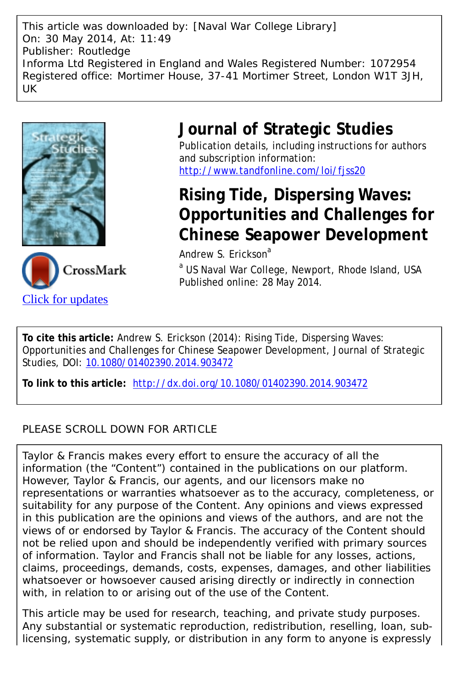This article was downloaded by: [Naval War College Library] On: 30 May 2014, At: 11:49 Publisher: Routledge Informa Ltd Registered in England and Wales Registered Number: 1072954 Registered office: Mortimer House, 37-41 Mortimer Street, London W1T 3JH, UK





# **Journal of Strategic Studies**

Publication details, including instructions for authors and subscription information: <http://www.tandfonline.com/loi/fjss20>

# **Rising Tide, Dispersing Waves: Opportunities and Challenges for Chinese Seapower Development**

Andrew S. Erickson<sup>a</sup>

<sup>a</sup> US Naval War College, Newport, Rhode Island, USA Published online: 28 May 2014.

**To cite this article:** Andrew S. Erickson (2014): Rising Tide, Dispersing Waves: Opportunities and Challenges for Chinese Seapower Development, Journal of Strategic Studies, DOI: [10.1080/01402390.2014.903472](http://www.tandfonline.com/action/showCitFormats?doi=10.1080/01402390.2014.903472)

**To link to this article:** <http://dx.doi.org/10.1080/01402390.2014.903472>

# PLEASE SCROLL DOWN FOR ARTICLE

Taylor & Francis makes every effort to ensure the accuracy of all the information (the "Content") contained in the publications on our platform. However, Taylor & Francis, our agents, and our licensors make no representations or warranties whatsoever as to the accuracy, completeness, or suitability for any purpose of the Content. Any opinions and views expressed in this publication are the opinions and views of the authors, and are not the views of or endorsed by Taylor & Francis. The accuracy of the Content should not be relied upon and should be independently verified with primary sources of information. Taylor and Francis shall not be liable for any losses, actions, claims, proceedings, demands, costs, expenses, damages, and other liabilities whatsoever or howsoever caused arising directly or indirectly in connection with, in relation to or arising out of the use of the Content.

This article may be used for research, teaching, and private study purposes. Any substantial or systematic reproduction, redistribution, reselling, loan, sublicensing, systematic supply, or distribution in any form to anyone is expressly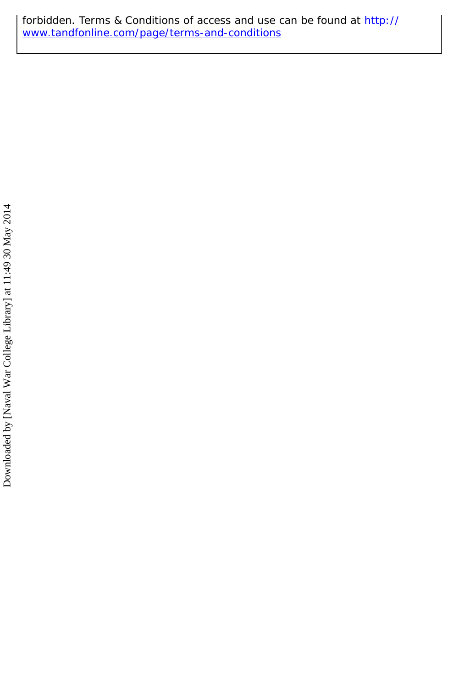forbidden. Terms & Conditions of access and use can be found at [http://](http://www.tandfonline.com/page/terms-and-conditions) [www.tandfonline.com/page/terms-and-conditions](http://www.tandfonline.com/page/terms-and-conditions)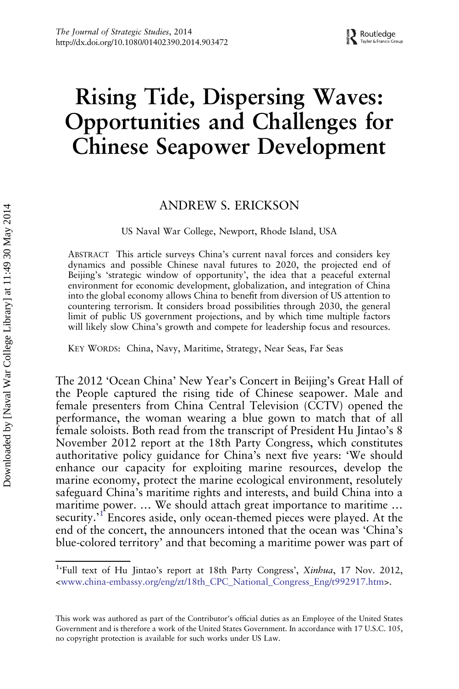# Rising Tide, Dispersing Waves: Opportunities and Challenges for Chinese Seapower Development

# ANDREW S. ERICKSON

US Naval War College, Newport, Rhode Island, USA

ABSTRACT This article surveys China's current naval forces and considers key dynamics and possible Chinese naval futures to 2020, the projected end of Beijing's 'strategic window of opportunity', the idea that a peaceful external environment for economic development, globalization, and integration of China into the global economy allows China to benefit from diversion of US attention to countering terrorism. It considers broad possibilities through 2030, the general limit of public US government projections, and by which time multiple factors will likely slow China's growth and compete for leadership focus and resources.

KEY WORDS: China, Navy, Maritime, Strategy, Near Seas, Far Seas

The 2012 'Ocean China' New Year's Concert in Beijing's Great Hall of the People captured the rising tide of Chinese seapower. Male and female presenters from China Central Television (CCTV) opened the performance, the woman wearing a blue gown to match that of all female soloists. Both read from the transcript of President Hu Jintao's 8 November 2012 report at the 18th Party Congress, which constitutes authoritative policy guidance for China's next five years: 'We should enhance our capacity for exploiting marine resources, develop the marine economy, protect the marine ecological environment, resolutely safeguard China's maritime rights and interests, and build China into a maritime power. … We should attach great importance to maritime … security.<sup>1</sup> Encores aside, only ocean-themed pieces were played. At the end of the concert, the announcers intoned that the ocean was 'China's blue-colored territory' and that becoming a maritime power was part of

<sup>&</sup>lt;sup>1</sup>'Full text of Hu Jintao's report at 18th Party Congress', Xinhua, 17 Nov. 2012, <[www.china-embassy.org/eng/zt/18th\\_CPC\\_National\\_Congress\\_Eng/t992917.htm](http://www.china-embassy.org/eng/zt/18th_CPC_National_Congress_Eng/t992917.htm)>.

This work was authored as part of the Contributor's official duties as an Employee of the United States Government and is therefore a work of the United States Government. In accordance with 17 U.S.C. 105, no copyright protection is available for such works under US Law.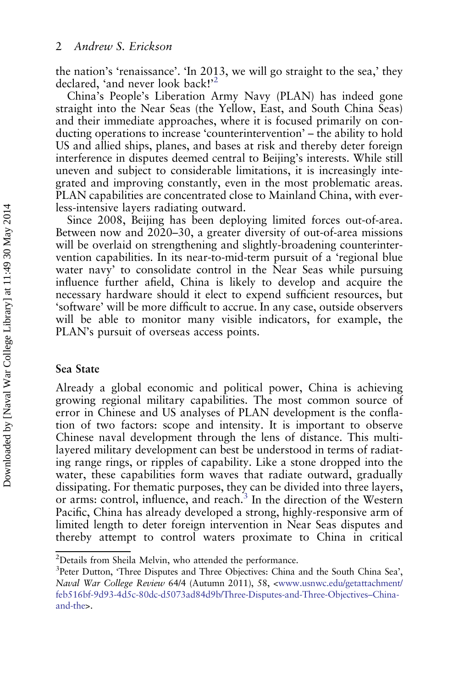the nation's 'renaissance'. 'In 2013, we will go straight to the sea,' they declared, 'and never look back!'<sup>2</sup>

China's People's Liberation Army Navy (PLAN) has indeed gone straight into the Near Seas (the Yellow, East, and South China Seas) and their immediate approaches, where it is focused primarily on conducting operations to increase 'counterintervention' – the ability to hold US and allied ships, planes, and bases at risk and thereby deter foreign interference in disputes deemed central to Beijing's interests. While still uneven and subject to considerable limitations, it is increasingly integrated and improving constantly, even in the most problematic areas. PLAN capabilities are concentrated close to Mainland China, with everless-intensive layers radiating outward.

Since 2008, Beijing has been deploying limited forces out-of-area. Between now and 2020–30, a greater diversity of out-of-area missions will be overlaid on strengthening and slightly-broadening counterintervention capabilities. In its near-to-mid-term pursuit of a 'regional blue water navy' to consolidate control in the Near Seas while pursuing influence further afield, China is likely to develop and acquire the necessary hardware should it elect to expend sufficient resources, but 'software' will be more difficult to accrue. In any case, outside observers will be able to monitor many visible indicators, for example, the PLAN's pursuit of overseas access points.

## Sea State

Already a global economic and political power, China is achieving growing regional military capabilities. The most common source of error in Chinese and US analyses of PLAN development is the conflation of two factors: scope and intensity. It is important to observe Chinese naval development through the lens of distance. This multilayered military development can best be understood in terms of radiating range rings, or ripples of capability. Like a stone dropped into the water, these capabilities form waves that radiate outward, gradually dissipating. For thematic purposes, they can be divided into three layers, or arms: control, influence, and reach.<sup>3</sup> In the direction of the Western Pacific, China has already developed a strong, highly-responsive arm of limited length to deter foreign intervention in Near Seas disputes and thereby attempt to control waters proximate to China in critical

<sup>&</sup>lt;sup>2</sup>Details from Sheila Melvin, who attended the performance.

<sup>&</sup>lt;sup>3</sup>Peter Dutton, 'Three Disputes and Three Objectives: China and the South China Sea', Naval War College Review 64/4 (Autumn 2011), 58, [<www.usnwc.edu/getattachment/](http://www.usnwc.edu/getattachment/feb516bf-9d93-4d5c-80dc-d5073ad84d9b/Three-Disputes-and-Three-ObjectivesChina-and-the) [feb516bf-9d93-4d5c-80dc-d5073ad84d9b/Three-Disputes-and-Three-Objectives](http://www.usnwc.edu/getattachment/feb516bf-9d93-4d5c-80dc-d5073ad84d9b/Three-Disputes-and-Three-ObjectivesChina-and-the)–China[and-the](http://www.usnwc.edu/getattachment/feb516bf-9d93-4d5c-80dc-d5073ad84d9b/Three-Disputes-and-Three-ObjectivesChina-and-the)>.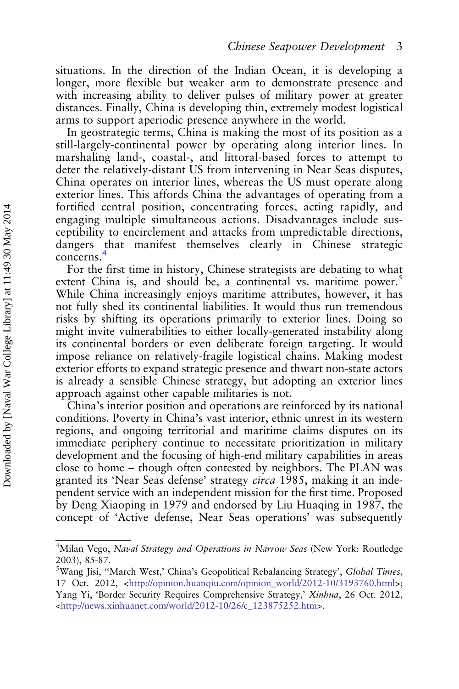situations. In the direction of the Indian Ocean, it is developing a longer, more flexible but weaker arm to demonstrate presence and with increasing ability to deliver pulses of military power at greater distances. Finally, China is developing thin, extremely modest logistical arms to support aperiodic presence anywhere in the world.

In geostrategic terms, China is making the most of its position as a still-largely-continental power by operating along interior lines. In marshaling land-, coastal-, and littoral-based forces to attempt to deter the relatively-distant US from intervening in Near Seas disputes, China operates on interior lines, whereas the US must operate along exterior lines. This affords China the advantages of operating from a fortified central position, concentrating forces, acting rapidly, and engaging multiple simultaneous actions. Disadvantages include susceptibility to encirclement and attacks from unpredictable directions, dangers that manifest themselves clearly in Chinese strategic concerns.<sup>4</sup>

For the first time in history, Chinese strategists are debating to what extent China is, and should be, a continental vs. maritime power.<sup>5</sup> While China increasingly enjoys maritime attributes, however, it has not fully shed its continental liabilities. It would thus run tremendous risks by shifting its operations primarily to exterior lines. Doing so might invite vulnerabilities to either locally-generated instability along its continental borders or even deliberate foreign targeting. It would impose reliance on relatively-fragile logistical chains. Making modest exterior efforts to expand strategic presence and thwart non-state actors is already a sensible Chinese strategy, but adopting an exterior lines approach against other capable militaries is not.

China's interior position and operations are reinforced by its national conditions. Poverty in China's vast interior, ethnic unrest in its western regions, and ongoing territorial and maritime claims disputes on its immediate periphery continue to necessitate prioritization in military development and the focusing of high-end military capabilities in areas close to home – though often contested by neighbors. The PLAN was granted its 'Near Seas defense' strategy circa 1985, making it an independent service with an independent mission for the first time. Proposed by Deng Xiaoping in 1979 and endorsed by Liu Huaqing in 1987, the concept of 'Active defense, Near Seas operations' was subsequently

<sup>&</sup>lt;sup>4</sup>Milan Vego, Naval Strategy and Operations in Narrow Seas (New York: Routledge 2003), 85-87.

<sup>&</sup>lt;sup>5</sup>Wang Jisi, "March West,' China's Geopolitical Rebalancing Strategy', Global Times, 17 Oct. 2012, [<http://opinion.huanqiu.com/opinion\\_world/2012-10/3193760.html](http://opinion.huanqiu.com/opinion_world/2012-10/3193760.html)>; Yang Yi, 'Border Security Requires Comprehensive Strategy,' Xinhua, 26 Oct. 2012, <[http://news.xinhuanet.com/world/2012-10/26/c\\_123875252.htm>](http://news.xinhuanet.com/world/2012-10/26/c_123875252.htm).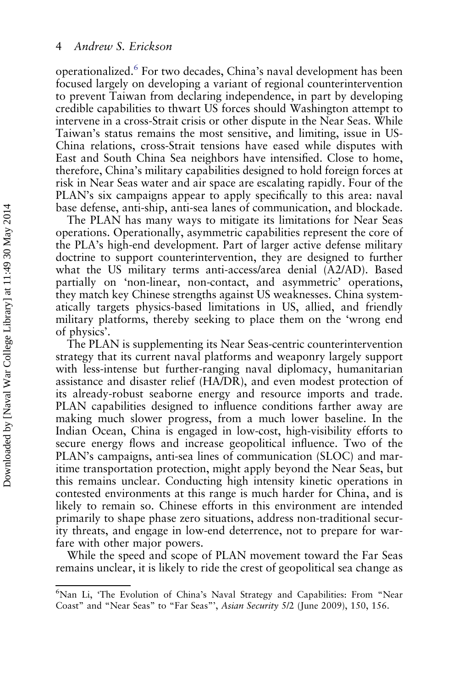operationalized.6 For two decades, China's naval development has been focused largely on developing a variant of regional counterintervention to prevent Taiwan from declaring independence, in part by developing credible capabilities to thwart US forces should Washington attempt to intervene in a cross-Strait crisis or other dispute in the Near Seas. While Taiwan's status remains the most sensitive, and limiting, issue in US-China relations, cross-Strait tensions have eased while disputes with East and South China Sea neighbors have intensified. Close to home, therefore, China's military capabilities designed to hold foreign forces at risk in Near Seas water and air space are escalating rapidly. Four of the PLAN's six campaigns appear to apply specifically to this area: naval base defense, anti-ship, anti-sea lanes of communication, and blockade.

The PLAN has many ways to mitigate its limitations for Near Seas operations. Operationally, asymmetric capabilities represent the core of the PLA's high-end development. Part of larger active defense military doctrine to support counterintervention, they are designed to further what the US military terms anti-access/area denial (A2/AD). Based partially on 'non-linear, non-contact, and asymmetric' operations, they match key Chinese strengths against US weaknesses. China systematically targets physics-based limitations in US, allied, and friendly military platforms, thereby seeking to place them on the 'wrong end of physics'.

The PLAN is supplementing its Near Seas-centric counterintervention strategy that its current naval platforms and weaponry largely support with less-intense but further-ranging naval diplomacy, humanitarian assistance and disaster relief (HA/DR), and even modest protection of its already-robust seaborne energy and resource imports and trade. PLAN capabilities designed to influence conditions farther away are making much slower progress, from a much lower baseline. In the Indian Ocean, China is engaged in low-cost, high-visibility efforts to secure energy flows and increase geopolitical influence. Two of the PLAN's campaigns, anti-sea lines of communication (SLOC) and maritime transportation protection, might apply beyond the Near Seas, but this remains unclear. Conducting high intensity kinetic operations in contested environments at this range is much harder for China, and is likely to remain so. Chinese efforts in this environment are intended primarily to shape phase zero situations, address non-traditional security threats, and engage in low-end deterrence, not to prepare for warfare with other major powers.

While the speed and scope of PLAN movement toward the Far Seas remains unclear, it is likely to ride the crest of geopolitical sea change as

<sup>&</sup>lt;sup>6</sup>Nan Li, 'The Evolution of China's Naval Strategy and Capabilities: From "Near Coast" and "Near Seas" to "Far Seas"', Asian Security 5/2 (June 2009), 150, 156.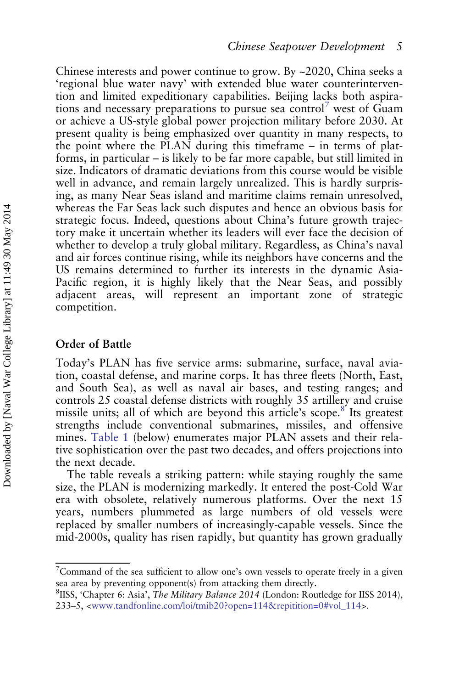Chinese interests and power continue to grow. By ~2020, China seeks a 'regional blue water navy' with extended blue water counterintervention and limited expeditionary capabilities. Beijing lacks both aspirations and necessary preparations to pursue sea control<sup>7</sup> west of Guam or achieve a US-style global power projection military before 2030. At present quality is being emphasized over quantity in many respects, to the point where the PLAN during this timeframe – in terms of platforms, in particular – is likely to be far more capable, but still limited in size. Indicators of dramatic deviations from this course would be visible well in advance, and remain largely unrealized. This is hardly surprising, as many Near Seas island and maritime claims remain unresolved, whereas the Far Seas lack such disputes and hence an obvious basis for strategic focus. Indeed, questions about China's future growth trajectory make it uncertain whether its leaders will ever face the decision of whether to develop a truly global military. Regardless, as China's naval and air forces continue rising, while its neighbors have concerns and the US remains determined to further its interests in the dynamic Asia-Pacific region, it is highly likely that the Near Seas, and possibly adjacent areas, will represent an important zone of strategic competition.

# Order of Battle

Today's PLAN has five service arms: submarine, surface, naval aviation, coastal defense, and marine corps. It has three fleets (North, East, and South Sea), as well as naval air bases, and testing ranges; and controls 25 coastal defense districts with roughly 35 artillery and cruise missile units; all of which are beyond this article's scope.<sup>8</sup> Its greatest strengths include conventional submarines, missiles, and offensive mines. [Table 1](#page-7-0) (below) enumerates major PLAN assets and their relative sophistication over the past two decades, and offers projections into the next decade.

The table reveals a striking pattern: while staying roughly the same size, the PLAN is modernizing markedly. It entered the post-Cold War era with obsolete, relatively numerous platforms. Over the next 15 years, numbers plummeted as large numbers of old vessels were replaced by smaller numbers of increasingly-capable vessels. Since the mid-2000s, quality has risen rapidly, but quantity has grown gradually

 $7$ Command of the sea sufficient to allow one's own vessels to operate freely in a given sea area by preventing opponent(s) from attacking them directly.

<sup>&</sup>lt;sup>8</sup>IISS, 'Chapter 6: Asia', The Military Balance 2014 (London: Routledge for IISS 2014), 233–5, [<www.tandfonline.com/loi/tmib20?open=114&repitition=0#vol\\_114](http://www.tandfonline.com/loi/tmib20?open=114&repitition=0#vol_114)>.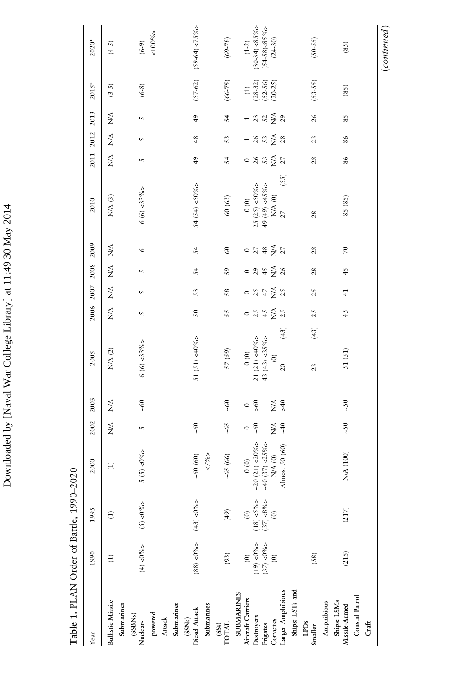| l<br>l<br>Í                            |
|----------------------------------------|
| l<br>ĺ<br>Γ                            |
| Í<br>$\ddot{\dot{\epsilon}}$<br>i<br>۱ |
| l<br>i<br>l<br>I                       |
| i<br>١<br>I<br>l<br>ı                  |
| l<br>I<br>ו<br>ו                       |
| י<br>ו                                 |
|                                        |
| ļ                                      |

Table 1. PLAN Order of Battle, 1990-2020 Table 1. PLAN Order of Battle, 1990–2020

<span id="page-7-0"></span>

| Year                                                  | 1990                             | 1995                                    | 2000                        | 2002                         | 2003          | 2005                   |                                                                                                            | 2006 2007                | 2008                                                | 2009                | 2010                        | 2011                                                                                                                       | 2012                         | 2013                   | $2015*$                              | $2020*$              |
|-------------------------------------------------------|----------------------------------|-----------------------------------------|-----------------------------|------------------------------|---------------|------------------------|------------------------------------------------------------------------------------------------------------|--------------------------|-----------------------------------------------------|---------------------|-----------------------------|----------------------------------------------------------------------------------------------------------------------------|------------------------------|------------------------|--------------------------------------|----------------------|
| <b>Ballistic Missile</b><br>Submarines                | $\oplus$                         | $\widehat{E}$                           | $\widehat{E}$               | $\stackrel{\triangle}{\geq}$ | ΝÃ            | NA(2)                  | $\stackrel{\triangle}{\geq}$                                                                               | ₹                        | $\sum_{i=1}^{n}$                                    | ΝÃ                  | NA(3)                       | $\stackrel{\triangle}{\geq}$                                                                                               | $\stackrel{\triangle}{\geq}$ | ΝÃ                     | $(3-5)$                              | $(4-5)$              |
| $\,$ powered $\,$<br>$_{\mbox{\bf (SSBNs)}}$ Nuclear- |                                  | (4) <0%> (5) <0%>                       | $5 (5) < 0\%$               | 5                            | $-60$         | $6(6)$ < 33%>          | 5                                                                                                          | 5                        | 5                                                   | $\circ$             | $6(6)$ < 33%>               | 5                                                                                                                          | 5                            | 5                      | $(6-8)$                              | $< 100\%$<br>$(6-9)$ |
| Submarines<br>Attack                                  |                                  |                                         |                             |                              |               |                        |                                                                                                            |                          |                                                     |                     |                             |                                                                                                                            |                              |                        |                                      |                      |
| (SSNs)<br>Diesel Attack                               | $(88) < 0\% >$                   | $(43) < 0\% >$                          | $-60(60)$                   | $-60$                        |               | 51 (51) $<40\%$        | 50                                                                                                         | 53                       | 54                                                  | 54                  | $54(54) < 50\%$             | $\frac{49}{5}$                                                                                                             | 48                           | 49                     | $(57 - 62)$                          | $(59-64) < 75\%$     |
| Submarines                                            |                                  |                                         | $<7\%$                      |                              |               |                        |                                                                                                            |                          |                                                     |                     |                             |                                                                                                                            |                              |                        |                                      |                      |
| $\frac{\text{(SS)}}{\text{NOTAL}}$                    | $(93)$                           | (49)                                    | $-65(66)$                   | $-65$                        | $-60$         | 57 (59)                | 55                                                                                                         | 58                       | 59                                                  | $\pmb{\mathcal{S}}$ | 60(63)                      | 54                                                                                                                         | 53                           | 54                     | $(66 - 75)$                          | $(69 - 78)$          |
| <b>SUBMARINES</b><br>Aircraft Carriers                | $\odot$                          |                                         |                             |                              | $\circ$       | $0\ (0)$               |                                                                                                            |                          |                                                     |                     |                             |                                                                                                                            |                              |                        |                                      | $(1-2)$              |
| Destroyers                                            | $(19) < 0\% >$<br>$(37) < 0\% >$ | (0)<br>(18) $< 5\%$ ><br>(37) $< 8\%$ > | $0(0)$<br>$-20(21)$ $-20\%$ | $\circ$ $\frac{6}{9}$        | >60           | 21 (21) < $40\%$       | $\circ$ $\overset{\sim}{\alpha}$ $\overset{\sim}{\alpha}$ $\overset{\sim}{\beta}$ $\overset{\sim}{\alpha}$ | $-377$<br>$-52$<br>$-52$ | $\circ$ 2 $\frac{1}{2}$ $\frac{1}{2}$ $\frac{1}{2}$ | $027$ $37$ $37$     | 0 (0)<br>25 (25) <50%>      | $\circ$ $\stackrel{\circ}{\approx}$ $\stackrel{\circ}{\approx}$ $\stackrel{\circ}{\approx}$<br>$\stackrel{\circ}{\approx}$ | $-8.358$                     | $-$ 3 $\approx \geq 3$ | (1)<br>(28-32)<br>(52-56)<br>(50-25) | $(30-34)$ <85%>      |
| Frigates<br>Corvettes<br>Larger Amphibious            |                                  |                                         | $-40(37)$ $-25\%$           |                              |               | 43 (43) < $35\%$       |                                                                                                            |                          |                                                     |                     | 49 (49) <45%>               |                                                                                                                            |                              |                        |                                      | $(54-58) < 85\%$     |
|                                                       | $\odot$                          | $\widehat{e}$                           | $N/A$ $(0)$                 | $\frac{4}{2}$                | $\frac{4}{2}$ | $\widehat{\mathbf{e}}$ |                                                                                                            |                          |                                                     |                     | $\frac{\text{N/A}}{27}$ (0) |                                                                                                                            |                              |                        |                                      | $(24 - 30)$          |
| Ships: LSTs and                                       |                                  |                                         | Almost 50 (60)              |                              |               | (43)<br>20             |                                                                                                            |                          |                                                     |                     | (55)                        |                                                                                                                            |                              |                        |                                      |                      |
|                                                       |                                  |                                         |                             |                              |               |                        |                                                                                                            |                          |                                                     |                     |                             |                                                                                                                            |                              |                        |                                      |                      |
| LPDs<br>Smaller                                       | (58)                             |                                         |                             |                              |               | (43)<br>23             | 25                                                                                                         | 25                       | 28                                                  | 28                  | 28                          | 28                                                                                                                         | 23                           | 26                     | $(53 - 55)$                          | $(50 - 55)$          |
| Amphibious                                            |                                  |                                         |                             |                              |               |                        |                                                                                                            |                          |                                                     |                     |                             |                                                                                                                            |                              |                        |                                      |                      |
| Ships: LSMs<br>Missile-Armed                          | (215)                            | (217)                                   | N/A (100)                   | $-50$                        | $\sim 50$     | 51 (51)                | 45                                                                                                         | $\frac{1}{4}$            | 45                                                  | $\approx$           | 85 (85)                     | 86                                                                                                                         | 86                           | 85                     | (85)                                 | (85)                 |
| Coastal Patrol                                        |                                  |                                         |                             |                              |               |                        |                                                                                                            |                          |                                                     |                     |                             |                                                                                                                            |                              |                        |                                      |                      |
| Craft                                                 |                                  |                                         |                             |                              |               |                        |                                                                                                            |                          |                                                     |                     |                             |                                                                                                                            |                              |                        |                                      |                      |

 $\left( continued \right)$ (continued)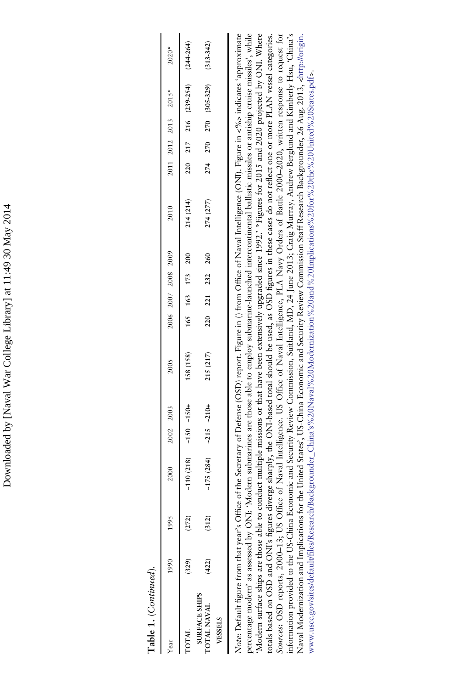| ł                                                            |
|--------------------------------------------------------------|
| l<br>J                                                       |
| ı                                                            |
|                                                              |
| ì                                                            |
| I<br>l                                                       |
| ł<br>l                                                       |
|                                                              |
| $\frac{1}{2}$                                                |
| ֧֖֖֧֪֪֪֦֪֧֧֚֚֚֚֚֚֚֚֚֚֚֚֚֚֚֚֚֝֝֝֝֝֝֝֟֓֝֬֝֝֝֬֝֝֬֝֬֝֬֝֬֝֬֝֬֝֝֬֝ |
|                                                              |
| l                                                            |
| I                                                            |
|                                                              |
| í                                                            |
| ı,<br>I                                                      |
|                                                              |
|                                                              |
| l                                                            |
| ١                                                            |
| ֧ׅ֧֧ׅ֧֪֧֚֚֚֚֚֚֚֚֚֚֚֚֚֚֚֚֚֚֚֚֚֚֚֚֚֚֬֡֡֡֬֜֡֟֓֡֡֬֜<br>į         |
| I                                                            |
|                                                              |
| i<br>)                                                       |
| j                                                            |
| ļ<br>i                                                       |
| ١                                                            |
| Ì<br>J                                                       |
|                                                              |
| i<br>j                                                       |
| l<br>ì                                                       |
|                                                              |
|                                                              |
|                                                              |
|                                                              |
| i                                                            |
| I.                                                           |
|                                                              |
| J                                                            |
|                                                              |
| ׇ֚֕֡                                                         |
|                                                              |
|                                                              |
|                                                              |
|                                                              |
|                                                              |
|                                                              |
| I<br>١                                                       |
| ļ<br>١                                                       |
|                                                              |

Table 1. (Continued). Table 1. (Continued).

| Year                         | 1990  | 1995  | 2000        | 2002   | 2003    | 2005      | 2006 | 2007        | 2008 2009 |     | 2010      |     | 2011 2012 2013 |     | $2015*$           | 2020*         |
|------------------------------|-------|-------|-------------|--------|---------|-----------|------|-------------|-----------|-----|-----------|-----|----------------|-----|-------------------|---------------|
| <b>LATOT</b>                 | (329) | (272) | $-110(218)$ | ~150   | $-150+$ | 158 (158) |      | 165 163 173 |           | 200 | 214 (214) | 220 | 217            |     | $216$ $(239-254)$ | $(244 - 264)$ |
| SURFACE SHIPS<br>TOTAL NAVAL | (422) | (312) | $-175(284)$ | $-215$ | $-210+$ | 215 (217) | 220  | 221         | 232       | 260 | 274 (277) | 274 | 270            | 270 | $(305 - 329)$     | $(313 - 342)$ |
| VESSELS                      |       |       |             |        |         |           |      |             |           |     |           |     |                |     |                   |               |
|                              |       |       |             |        |         |           |      |             |           |     |           |     |                |     |                   |               |

Note: Default figure from that year's Office of the Secretary of Defense (OSD) report. Figure in () from Office of Naval Intelligence (ONI). Figure in <%> indicates 'approximate percentage modern' as assessed by ONI: 'Modern submarines are those able to employ submarine-launched intercontinental ballistic missiles or antiship cruise missiles', while Modern surface ships are those able to conduct multiple missions or that have been extensively upgraded since 1992.' \*Figures for 2015 and 2020 projected by ONI. Where totals based on OSD and ONI's figures diverge sharply, the ONI-based total should be used, as OSD figures in these cases do not reflect one or more PLAN vessel categories. information provided to the US-China Economic and Security Review Commission, Suitland, MD, 24 June 2013; Craig Murray, Andrew Berglund and Kimberly Hsu, 'China's Naval Modernization and Implications for the United States', US-China Economic and Security Review Commission Staff Research Backgrounder, 26 Aug. 2013, <http://origin. Sources: OSD reports, 2000-13; US Office of Naval Intelligence. US Office of Naval Intelligence, PLA Navy Orders of Bartle 2000-2020, written response to request for Note: Default figure from that year's Office of the Secretary of Defense (OSD) report. Figure in () from Office of Naval Intelligence (ONI). Figure in <%> indicates 'approximate percentage modern' as assessed by ONI: 'Modern submarines are those able to employ submarine-launched intercontinental ballistic missiles or antiship cruise missiles', while 'Modern surface ships are those able to conduct multiple missions or that have been extensively upgraded since 1992.' \*Figures for 2015 and 2020 projected by ONI. Where totals based on OSD and ONI's figures diverge sharply, the ONI-based total should be used, as OSD figures in these cases do not reflect one or more PLAN vessel categories. Sources: OSD reports, 2000–13; US Office of Naval Intelligence. US Office of Naval Intelligence, PLA Navy Orders of Battle 2000–2020, written response to request for information provided to the US-China Economic and Security Review Commission, Suitland, MD, 24 June 2013; Craig Murray, Andrew Berglund and Kimberly Hsu, 'China's Naval Modernization and Implications for the United States', US-China Economic and Security Review Commission Staff Research Backgrounder, 26 Aug. 2013, <[http://origin.](http://origin.www.uscc.gov/sites/default/files/Research/Backgrounder_Chinas%20Naval%20Modernization%20and%20Implications%20for%20the%20United%20States.pdf) www.uscc.gov/sites/default/files/Research/Backgrounder\_China's%20Naval%20Modernization%20and%20Implications%20for%20the%20United%20States.pdf>. www.uscc.gov/sites/default/files/Research/Backgrounder\_China'[s%20Naval%20Modernization%20and%20Implications%20for%20the%20United%20States.pdf](http://origin.www.uscc.gov/sites/default/files/Research/Backgrounder_Chinas%20Naval%20Modernization%20and%20Implications%20for%20the%20United%20States.pdf)>.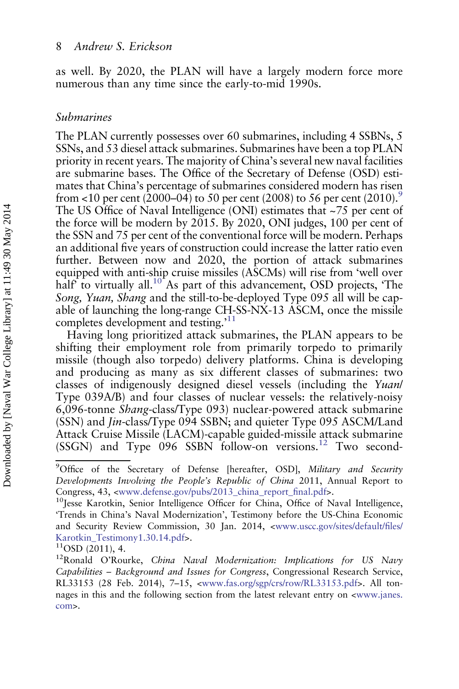as well. By 2020, the PLAN will have a largely modern force more numerous than any time since the early-to-mid 1990s.

#### Submarines

The PLAN currently possesses over 60 submarines, including 4 SSBNs, 5 SSNs, and 53 diesel attack submarines. Submarines have been a top PLAN priority in recent years. The majority of China's several new naval facilities are submarine bases. The Office of the Secretary of Defense (OSD) estimates that China's percentage of submarines considered modern has risen from <10 per cent  $(2000-04)$  to 50 per cent (2008) to 56 per cent (2010).<sup>9</sup> The US Office of Naval Intelligence (ONI) estimates that ~75 per cent of the force will be modern by 2015. By 2020, ONI judges, 100 per cent of the SSN and 75 per cent of the conventional force will be modern. Perhaps an additional five years of construction could increase the latter ratio even further. Between now and 2020, the portion of attack submarines equipped with anti-ship cruise missiles (ASCMs) will rise from 'well over half' to virtually all. $10<sup>+</sup>$ As part of this advancement, OSD projects, 'The Song, Yuan, Shang and the still-to-be-deployed Type 095 all will be capable of launching the long-range CH-SS-NX-13 ASCM, once the missile completes development and testing.'<sup>11</sup>

Having long prioritized attack submarines, the PLAN appears to be shifting their employment role from primarily torpedo to primarily missile (though also torpedo) delivery platforms. China is developing and producing as many as six different classes of submarines: two classes of indigenously designed diesel vessels (including the Yuan/ Type 039A/B) and four classes of nuclear vessels: the relatively-noisy 6,096-tonne Shang-class/Type 093) nuclear-powered attack submarine (SSN) and Jin-class/Type 094 SSBN; and quieter Type 095 ASCM/Land Attack Cruise Missile (LACM)-capable guided-missile attack submarine (SSGN) and Type  $\dot{0}96$  SSBN follow-on versions.<sup>12</sup> Two second-

<sup>&</sup>lt;sup>9</sup>Office of the Secretary of Defense [hereafter, OSD], Military and Security Developments Involving the People's Republic of China 2011, Annual Report to

Congress, 43, [<www.defense.gov/pubs/2013\\_china\\_report\\_](http://www.defense.gov/pubs/2013_china_report_final.pdf)final.pdf>.<br><sup>10</sup>Jesse Karotkin, Senior Intelligence Officer for China, Office of Naval Intelligence, 'Trends in China's Naval Modernization', Testimony before the US-China Economic and Security Review Commission, 30 Jan. 2014, <[www.uscc.gov/sites/default/](http://www.uscc.gov/sites/default/files/Karotkin_Testimony1.30.14.pdf)files/ [Karotkin\\_Testimony1.30.14.pdf>](http://www.uscc.gov/sites/default/files/Karotkin_Testimony1.30.14.pdf).<br><sup>11</sup>OSD (2011), 4. 11<br><sup>12</sup>Ronald O'Rourke, *China Naval Modernization: Implications for US Navy* 

Capabilities – Background and Issues for Congress, Congressional Research Service, RL33153 (28 Feb. 2014), 7–15, <[www.fas.org/sgp/crs/row/RL33153.pdf>](http://www.fas.org/sgp/crs/row/RL33153.pdf). All tonnages in this and the following section from the latest relevant entry on <[www.janes.](http://www.janes.com) [com>](http://www.janes.com).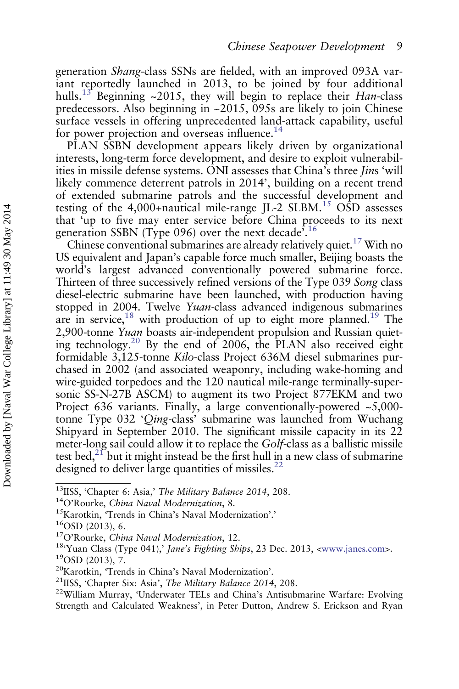generation Shang-class SSNs are fielded, with an improved 093A variant reportedly launched in 2013, to be joined by four additional hulls.<sup>13</sup> Beginning ~2015, they will begin to replace their *Han-class* predecessors. Also beginning in ~2015, 095s are likely to join Chinese surface vessels in offering unprecedented land-attack capability, useful for power projection and overseas influence.<sup>14</sup>

PLAN SSBN development appears likely driven by organizational interests, long-term force development, and desire to exploit vulnerabilities in missile defense systems. ONI assesses that China's three Jins 'will likely commence deterrent patrols in 2014', building on a recent trend of extended submarine patrols and the successful development and testing of the 4,000+nautical mile-range JL-2 SLBM.<sup>15</sup> OSD assesses that 'up to five may enter service before China proceeds to its next generation SSBN (Type 096) over the next decade<sup>5.16</sup>

Chinese conventional submarines are already relatively quiet.<sup>17</sup> With no US equivalent and Japan's capable force much smaller, Beijing boasts the world's largest advanced conventionally powered submarine force. Thirteen of three successively refined versions of the Type 039 Song class diesel-electric submarine have been launched, with production having stopped in 2004. Twelve Yuan-class advanced indigenous submarines are in service,<sup>18</sup> with production of up to eight more planned.<sup>19</sup> The 2,900-tonne Yuan boasts air-independent propulsion and Russian quieting technology.20 By the end of 2006, the PLAN also received eight formidable 3,125-tonne Kilo-class Project 636M diesel submarines purchased in 2002 (and associated weaponry, including wake-homing and wire-guided torpedoes and the 120 nautical mile-range terminally-supersonic SS-N-27B ASCM) to augment its two Project 877EKM and two Project 636 variants. Finally, a large conventionally-powered ~5,000tonne Type 032 'Qing-class' submarine was launched from Wuchang Shipyard in September 2010. The significant missile capacity in its 22 meter-long sail could allow it to replace the Golf-class as a ballistic missile test bed,<sup>21</sup> but it might instead be the first hull in a new class of submarine designed to deliver large quantities of missiles.<sup>22</sup>

<sup>&</sup>lt;sup>13</sup>IISS, 'Chapter 6: Asia,' *The Military Balance 2014*, 208.<br><sup>14</sup>O'Rourke, *China Naval Modernization*, 8.<br><sup>15</sup>Karotkin, 'Trends in China's Naval Modernization'.'<br><sup>16</sup>OSD (2013), 6.<br><sup>17</sup>O'Rourke, *China Naval Modernizati* 

Strength and Calculated Weakness', in Peter Dutton, Andrew S. Erickson and Ryan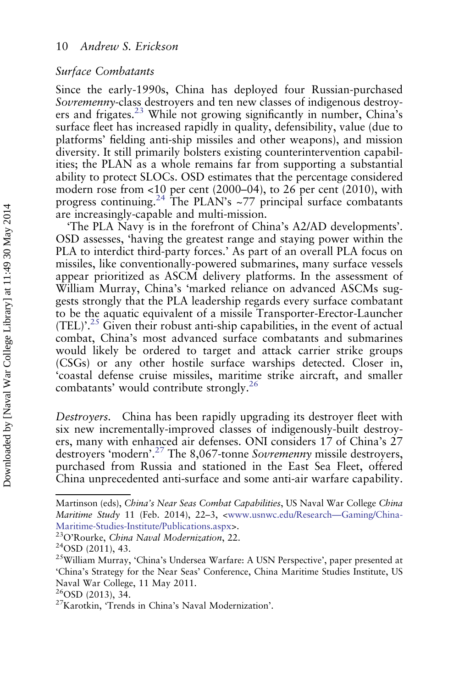#### Surface Combatants

Since the early-1990s, China has deployed four Russian-purchased Sovremenny-class destroyers and ten new classes of indigenous destroyers and frigates.<sup>23</sup> While not growing significantly in number, China's surface fleet has increased rapidly in quality, defensibility, value (due to platforms' fielding anti-ship missiles and other weapons), and mission diversity. It still primarily bolsters existing counterintervention capabilities; the PLAN as a whole remains far from supporting a substantial ability to protect SLOCs. OSD estimates that the percentage considered modern rose from <10 per cent (2000–04), to 26 per cent (2010), with progress continuing.<sup>24</sup> The PLAN's  $\sim$ 77 principal surface combatants are increasingly-capable and multi-mission.

'The PLA Navy is in the forefront of China's A2/AD developments'. OSD assesses, 'having the greatest range and staying power within the PLA to interdict third-party forces.' As part of an overall PLA focus on missiles, like conventionally-powered submarines, many surface vessels appear prioritized as ASCM delivery platforms. In the assessment of William Murray, China's 'marked reliance on advanced ASCMs suggests strongly that the PLA leadership regards every surface combatant to be the aquatic equivalent of a missile Transporter-Erector-Launcher (TEL)'.<sup>25</sup> Given their robust anti-ship capabilities, in the event of actual combat, China's most advanced surface combatants and submarines would likely be ordered to target and attack carrier strike groups (CSGs) or any other hostile surface warships detected. Closer in, 'coastal defense cruise missiles, maritime strike aircraft, and smaller combatants' would contribute strongly.26

Destroyers. China has been rapidly upgrading its destroyer fleet with six new incrementally-improved classes of indigenously-built destroyers, many with enhanced air defenses. ONI considers 17 of China's 27 destroyers 'modern'.<sup>27</sup> The 8,067-tonne Sovremenny missile destroyers, purchased from Russia and stationed in the East Sea Fleet, offered China unprecedented anti-surface and some anti-air warfare capability.

Martinson (eds), China's Near Seas Combat Capabilities, US Naval War College China Maritime Study 11 (Feb. 2014), 22–3, <[www.usnwc.edu/Research](http://www.usnwc.edu/ResearchGaming/China-Maritime-Studies-Institute/Publications.aspx)—Gaming/China-

[Maritime-Studies-Institute/Publications.aspx](http://www.usnwc.edu/ResearchGaming/China-Maritime-Studies-Institute/Publications.aspx)>.<br><sup>23</sup>O'Rourke, *China Naval Modernization*, 22.<br><sup>24</sup>OSD (2011), 43. <sup>25</sup>William Murray, 'China's Undersea Warfare: A USN Perspective', paper presented at 'China's Strategy for the Near Seas' Conference, China Maritime Studies Institute, US Naval War College, 11 May 2011.

 $^{26}$ OSD (2013), 34.<br><sup>27</sup>Karotkin, 'Trends in China's Naval Modernization'.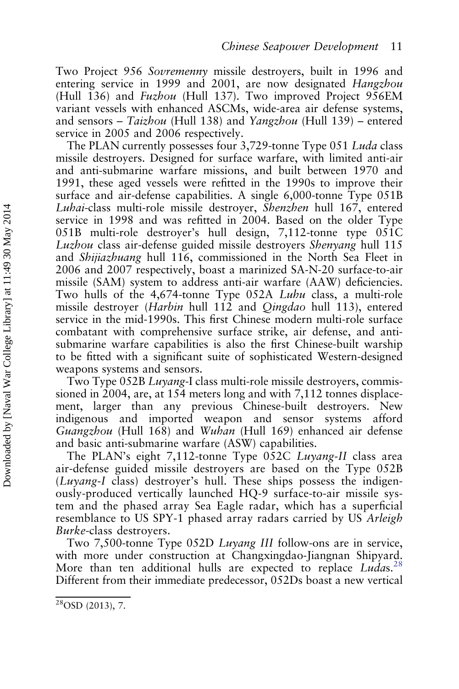Two Project 956 Sovremenny missile destroyers, built in 1996 and entering service in 1999 and 2001, are now designated Hangzhou (Hull 136) and Fuzhou (Hull 137). Two improved Project 956EM variant vessels with enhanced ASCMs, wide-area air defense systems, and sensors – Taizhou (Hull 138) and Yangzhou (Hull 139) – entered service in 2005 and 2006 respectively.

The PLAN currently possesses four 3,729-tonne Type 051 Luda class missile destroyers. Designed for surface warfare, with limited anti-air and anti-submarine warfare missions, and built between 1970 and 1991, these aged vessels were refitted in the 1990s to improve their surface and air-defense capabilities. A single 6,000-tonne Type 051B Luhai-class multi-role missile destroyer, Shenzhen hull 167, entered service in 1998 and was refitted in 2004. Based on the older Type 051B multi-role destroyer's hull design, 7,112-tonne type 051C Luzhou class air-defense guided missile destroyers Shenyang hull 115 and Shijiazhuang hull 116, commissioned in the North Sea Fleet in 2006 and 2007 respectively, boast a marinized SA-N-20 surface-to-air missile (SAM) system to address anti-air warfare (AAW) deficiencies. Two hulls of the 4,674-tonne Type 052A Luhu class, a multi-role missile destroyer (Harbin hull 112 and Qingdao hull 113), entered service in the mid-1990s. This first Chinese modern multi-role surface combatant with comprehensive surface strike, air defense, and antisubmarine warfare capabilities is also the first Chinese-built warship to be fitted with a significant suite of sophisticated Western-designed weapons systems and sensors.

Two Type 052B Luyang-I class multi-role missile destroyers, commissioned in 2004, are, at 154 meters long and with 7,112 tonnes displacement, larger than any previous Chinese-built destroyers. New indigenous and imported weapon and sensor systems afford Guangzhou (Hull 168) and Wuhan (Hull 169) enhanced air defense and basic anti-submarine warfare (ASW) capabilities.

The PLAN's eight 7,112-tonne Type 052C Luyang-II class area air-defense guided missile destroyers are based on the Type 052B (Luyang-I class) destroyer's hull. These ships possess the indigenously-produced vertically launched HQ-9 surface-to-air missile system and the phased array Sea Eagle radar, which has a superficial resemblance to US SPY-1 phased array radars carried by US Arleigh Burke-class destroyers.

Two 7,500-tonne Type 052D Luyang III follow-ons are in service, with more under construction at Changxingdao-Jiangnan Shipyard. More than ten additional hulls are expected to replace Ludas.<sup>28</sup> Different from their immediate predecessor, 052Ds boast a new vertical

 $^{28}$ OSD (2013), 7.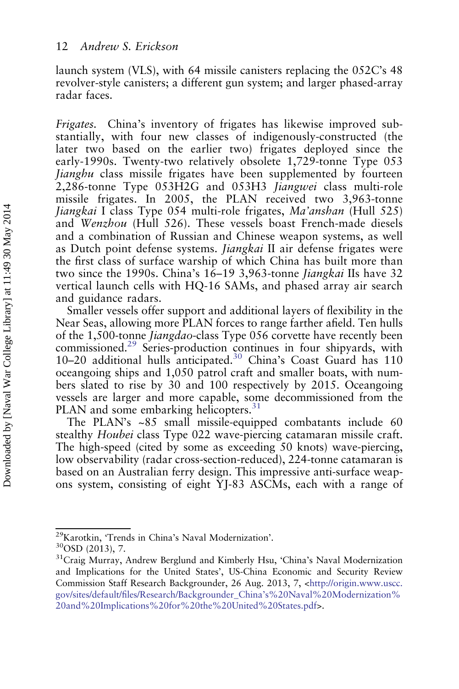launch system (VLS), with 64 missile canisters replacing the 052C's 48 revolver-style canisters; a different gun system; and larger phased-array radar faces.

Frigates. China's inventory of frigates has likewise improved substantially, with four new classes of indigenously-constructed (the later two based on the earlier two) frigates deployed since the early-1990s. Twenty-two relatively obsolete 1,729-tonne Type 053 Jianghu class missile frigates have been supplemented by fourteen 2,286-tonne Type 053H2G and 053H3 Jiangwei class multi-role missile frigates. In 2005, the PLAN received two 3,963-tonne Jiangkai I class Type 054 multi-role frigates, Ma'anshan (Hull 525) and Wenzhou (Hull 526). These vessels boast French-made diesels and a combination of Russian and Chinese weapon systems, as well as Dutch point defense systems. Jiangkai II air defense frigates were the first class of surface warship of which China has built more than two since the 1990s. China's 16–19 3,963-tonne Jiangkai IIs have 32 vertical launch cells with HQ-16 SAMs, and phased array air search and guidance radars.

Smaller vessels offer support and additional layers of flexibility in the Near Seas, allowing more PLAN forces to range farther afield. Ten hulls of the 1,500-tonne *Jiangdao*-class Type 056 corvette have recently been commissioned.<sup>29</sup> Series-production continues in four shipyards, with 10–20 additional hulls anticipated.<sup>30</sup> China's Coast Guard has 110 oceangoing ships and 1,050 patrol craft and smaller boats, with numbers slated to rise by 30 and 100 respectively by 2015. Oceangoing vessels are larger and more capable, some decommissioned from the PLAN and some embarking helicopters.<sup>31</sup>

The PLAN's ~85 small missile-equipped combatants include 60 stealthy Houbei class Type 022 wave-piercing catamaran missile craft. The high-speed (cited by some as exceeding 50 knots) wave-piercing, low observability (radar cross-section-reduced), 224-tonne catamaran is based on an Australian ferry design. This impressive anti-surface weapons system, consisting of eight YJ-83 ASCMs, each with a range of

<sup>&</sup>lt;sup>29</sup>Karotkin, 'Trends in China's Naval Modernization'.<br><sup>30</sup>OSD (2013), 7.<br><sup>31</sup>Craig Murray, Andrew Berglund and Kimberly Hsu, 'China's Naval Modernization and Implications for the United States', US-China Economic and Security Review Commission Staff Research Backgrounder, 26 Aug. 2013, 7, [<http://origin.www.uscc.](http://origin.www.uscc.gov/sites/default/files/Research/Backgrounder_Chinas%20Naval%20Modernization%20and%20Implications%20for%20the%20United%20States.pdf) gov/sites/default/fi[les/Research/Backgrounder\\_China](http://origin.www.uscc.gov/sites/default/files/Research/Backgrounder_Chinas%20Naval%20Modernization%20and%20Implications%20for%20the%20United%20States.pdf)'s%20Naval%20Modernization% [20and%20Implications%20for%20the%20United%20States.pdf](http://origin.www.uscc.gov/sites/default/files/Research/Backgrounder_Chinas%20Naval%20Modernization%20and%20Implications%20for%20the%20United%20States.pdf)>.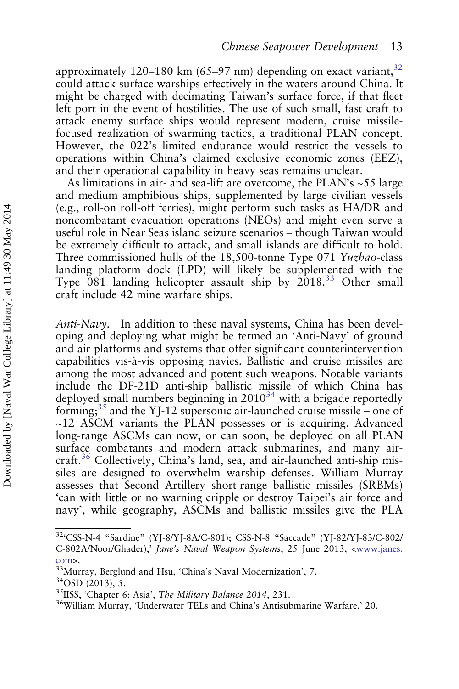approximately 120–180 km (65–97 nm) depending on exact variant,  $32$ could attack surface warships effectively in the waters around China. It might be charged with decimating Taiwan's surface force, if that fleet left port in the event of hostilities. The use of such small, fast craft to attack enemy surface ships would represent modern, cruise missilefocused realization of swarming tactics, a traditional PLAN concept. However, the 022's limited endurance would restrict the vessels to operations within China's claimed exclusive economic zones (EEZ), and their operational capability in heavy seas remains unclear.

As limitations in air- and sea-lift are overcome, the PLAN's ~55 large and medium amphibious ships, supplemented by large civilian vessels (e.g., roll-on roll-off ferries), might perform such tasks as HA/DR and noncombatant evacuation operations (NEOs) and might even serve a useful role in Near Seas island seizure scenarios – though Taiwan would be extremely difficult to attack, and small islands are difficult to hold. Three commissioned hulls of the 18,500-tonne Type 071 Yuzhao-class landing platform dock (LPD) will likely be supplemented with the Type 081 landing helicopter assault ship by 2018.<sup>33</sup> Other small craft include 42 mine warfare ships.

Anti-Navy. In addition to these naval systems, China has been developing and deploying what might be termed an 'Anti-Navy' of ground and air platforms and systems that offer significant counterintervention capabilities vis-à-vis opposing navies. Ballistic and cruise missiles are among the most advanced and potent such weapons. Notable variants include the DF-21D anti-ship ballistic missile of which China has deployed small numbers beginning in  $2010^{34}$  with a brigade reportedly forming; $35$  and the YJ-12 supersonic air-launched cruise missile – one of ~12 ASCM variants the PLAN possesses or is acquiring. Advanced long-range ASCMs can now, or can soon, be deployed on all PLAN surface combatants and modern attack submarines, and many aircraft.<sup>36</sup> Collectively, China's land, sea, and air-launched anti-ship missiles are designed to overwhelm warship defenses. William Murray assesses that Second Artillery short-range ballistic missiles (SRBMs) 'can with little or no warning cripple or destroy Taipei's air force and navy', while geography, ASCMs and ballistic missiles give the PLA

<sup>32</sup>'CSS-N-4 "Sardine" (YJ-8/YJ-8A/C-801); CSS-N-8 "Saccade" (YJ-82/YJ-83/C-802/ C-802A/Noor/Ghader),' Jane's Naval Weapon Systems, 25 June 2013, <[www.janes.](http://www.janes.com)

[com>](http://www.janes.com).<br><sup>33</sup>Murray, Berglund and Hsu, 'China's Naval Modernization', 7.<br><sup>34</sup>OSD (2013), 5.<br><sup>35</sup>IISS, 'Chapter 6: Asia', *The Military Balance* 2014, 231.<br><sup>36</sup>William Murray, 'Underwater TELs and China's Antisubmarine Warfare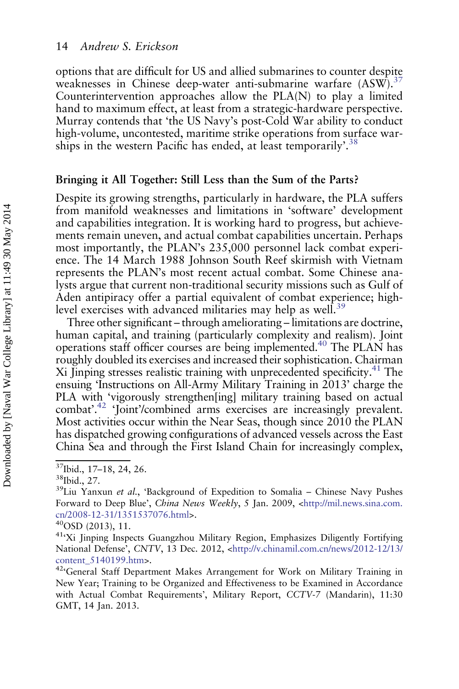options that are difficult for US and allied submarines to counter despite weaknesses in Chinese deep-water anti-submarine warfare  $(ASW)^{37}$ Counterintervention approaches allow the PLA(N) to play a limited hand to maximum effect, at least from a strategic-hardware perspective. Murray contends that 'the US Navy's post-Cold War ability to conduct high-volume, uncontested, maritime strike operations from surface warships in the western Pacific has ended, at least temporarily'.<sup>38</sup>

# Bringing it All Together: Still Less than the Sum of the Parts?

Despite its growing strengths, particularly in hardware, the PLA suffers from manifold weaknesses and limitations in 'software' development and capabilities integration. It is working hard to progress, but achievements remain uneven, and actual combat capabilities uncertain. Perhaps most importantly, the PLAN's 235,000 personnel lack combat experience. The 14 March 1988 Johnson South Reef skirmish with Vietnam represents the PLAN's most recent actual combat. Some Chinese analysts argue that current non-traditional security missions such as Gulf of Aden antipiracy offer a partial equivalent of combat experience; highlevel exercises with advanced militaries may help as well.<sup>39</sup>

Three other significant – through ameliorating – limitations are doctrine, human capital, and training (particularly complexity and realism). Joint operations staff officer courses are being implemented.40 The PLAN has roughly doubled its exercises and increased their sophistication. Chairman Xi Jinping stresses realistic training with unprecedented specificity.<sup>41</sup> The ensuing 'Instructions on All-Army Military Training in 2013' charge the PLA with 'vigorously strengthen[ing] military training based on actual combat'. <sup>42</sup> 'Joint'/combined arms exercises are increasingly prevalent. Most activities occur within the Near Seas, though since 2010 the PLAN has dispatched growing configurations of advanced vessels across the East China Sea and through the First Island Chain for increasingly complex,

<sup>&</sup>lt;sup>37</sup>Ibid., 17–18, 24, 26. <sup>38</sup>Ibid., 27.<br><sup>38</sup>Liu Yanxun *et al.*, 'Background of Expedition to Somalia – Chinese Navy Pushes Forward to Deep Blue', China News Weekly, 5 Jan. 2009, <[http://mil.news.sina.com.](http://mil.news.sina.com.cn/2008-12-31/1351537076.html) [cn/2008-12-31/1351537076.html](http://mil.news.sina.com.cn/2008-12-31/1351537076.html)>.<br><sup>40</sup>OSD (2013), 11.<br><sup>41</sup>'Xi Jinping Inspects Guangzhou Military Region, Emphasizes Diligently Fortifying

National Defense', CNTV, 13 Dec. 2012, [<http://v.chinamil.com.cn/news/2012-12/13/](http://v.chinamil.com.cn/news/2012-12/13/content_5140199.htm) [content\\_5140199.htm>](http://v.chinamil.com.cn/news/2012-12/13/content_5140199.htm).<br><sup>42</sup>'General Staff Department Makes Arrangement for Work on Military Training in

New Year; Training to be Organized and Effectiveness to be Examined in Accordance with Actual Combat Requirements', Military Report, CCTV-7 (Mandarin), 11:30 GMT, 14 Jan. 2013.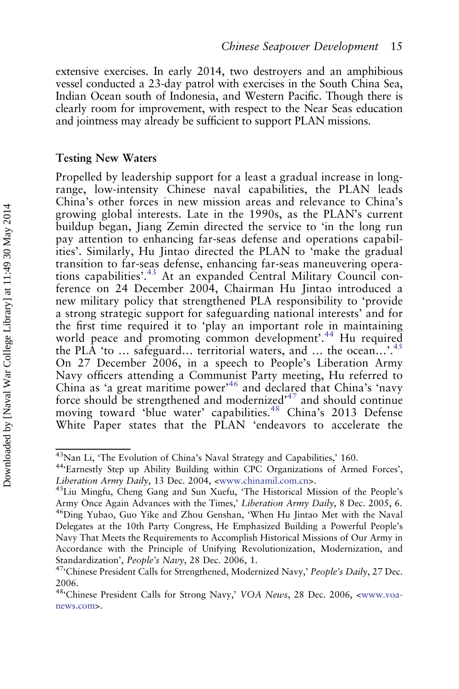extensive exercises. In early 2014, two destroyers and an amphibious vessel conducted a 23-day patrol with exercises in the South China Sea, Indian Ocean south of Indonesia, and Western Pacific. Though there is clearly room for improvement, with respect to the Near Seas education and jointness may already be sufficient to support PLAN missions.

#### Testing New Waters

Propelled by leadership support for a least a gradual increase in longrange, low-intensity Chinese naval capabilities, the PLAN leads China's other forces in new mission areas and relevance to China's growing global interests. Late in the 1990s, as the PLAN's current buildup began, Jiang Zemin directed the service to 'in the long run pay attention to enhancing far-seas defense and operations capabilities'. Similarly, Hu Jintao directed the PLAN to 'make the gradual transition to far-seas defense, enhancing far-seas maneuvering operations capabilities'. <sup>43</sup> At an expanded Central Military Council conference on 24 December 2004, Chairman Hu Jintao introduced a new military policy that strengthened PLA responsibility to 'provide a strong strategic support for safeguarding national interests' and for the first time required it to 'play an important role in maintaining world peace and promoting common development'. <sup>44</sup> Hu required the PLA 'to ... safeguard... territorial waters, and ... the ocean...'.<sup>45</sup> On 27 December 2006, in a speech to People's Liberation Army Navy officers attending a Communist Party meeting, Hu referred to China as 'a great maritime power' <sup>46</sup> and declared that China's 'navy force should be strengthened and modernized<sup>,47</sup> and should continue moving toward 'blue water' capabilities.<sup>48</sup> China's 2013 Defense White Paper states that the PLAN 'endeavors to accelerate the

<sup>&</sup>lt;sup>43</sup>Nan Li, 'The Evolution of China's Naval Strategy and Capabilities,' 160.<br><sup>44</sup>'Earnestly Step up Ability Building within CPC Organizations of Armed Forces', Liberation Army Daily, 13 Dec. 2004, <[www.chinamil.com.cn>](http://www.chinamil.com.cn). 45Liu Mingfu, Cheng Gang and Sun Xuefu, 'The Historical Mission of the People's

Army Once Again Advances with the Times,' Liberation Army Daily, 8 Dec. 2005, 6. 4<sup>6</sup>Ding Yubao, Guo Yike and Zhou Genshan, 'When Hu Jintao Met with the Naval Delegates at the 10th Party Congress, He Emphasized Building a Powerful People's Navy That Meets the Requirements to Accomplish Historical Missions of Our Army in Accordance with the Principle of Unifying Revolutionization, Modernization, and

Standardization', *People's Navy*, 28 Dec. 2006, 1.<br><sup>47</sup>'Chinese President Calls for Strengthened, Modernized Navy,' *People's Daily*, 27 Dec. 2006.

<sup>48</sup>'Chinese President Calls for Strong Navy,' VOA News, 28 Dec. 2006, [<www.voa](http://www.voanews.com)[news.com>](http://www.voanews.com).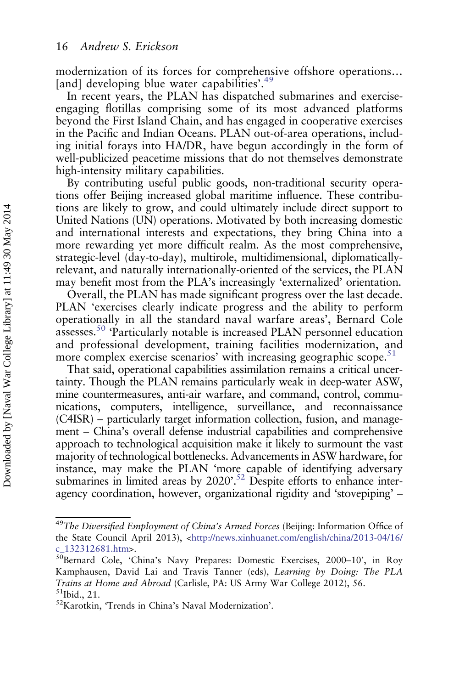modernization of its forces for comprehensive offshore operations… [and] developing blue water capabilities'.<sup>49</sup>

In recent years, the PLAN has dispatched submarines and exerciseengaging flotillas comprising some of its most advanced platforms beyond the First Island Chain, and has engaged in cooperative exercises in the Pacific and Indian Oceans. PLAN out-of-area operations, including initial forays into HA/DR, have begun accordingly in the form of well-publicized peacetime missions that do not themselves demonstrate high-intensity military capabilities.

By contributing useful public goods, non-traditional security operations offer Beijing increased global maritime influence. These contributions are likely to grow, and could ultimately include direct support to United Nations (UN) operations. Motivated by both increasing domestic and international interests and expectations, they bring China into a more rewarding yet more difficult realm. As the most comprehensive, strategic-level (day-to-day), multirole, multidimensional, diplomaticallyrelevant, and naturally internationally-oriented of the services, the PLAN may benefit most from the PLA's increasingly 'externalized' orientation.

Overall, the PLAN has made significant progress over the last decade. PLAN 'exercises clearly indicate progress and the ability to perform operationally in all the standard naval warfare areas', Bernard Cole assesses.<sup>50</sup> 'Particularly notable is increased PLAN personnel education and professional development, training facilities modernization, and more complex exercise scenarios' with increasing geographic scope.<sup>51</sup>

That said, operational capabilities assimilation remains a critical uncertainty. Though the PLAN remains particularly weak in deep-water ASW, mine countermeasures, anti-air warfare, and command, control, communications, computers, intelligence, surveillance, and reconnaissance (C4ISR) – particularly target information collection, fusion, and management – China's overall defense industrial capabilities and comprehensive approach to technological acquisition make it likely to surmount the vast majority of technological bottlenecks. Advancements in ASW hardware, for instance, may make the PLAN 'more capable of identifying adversary submarines in limited areas by 2020'.<sup>52</sup> Despite efforts to enhance interagency coordination, however, organizational rigidity and 'stovepiping' –

<sup>&</sup>lt;sup>49</sup>The Diversified Employment of China's Armed Forces (Beijing: Information Office of the State Council April 2013), <[http://news.xinhuanet.com/english/china/2013-04/16/](http://news.xinhuanet.com/english/china/2013-04/16/c_132312681.htm) [c\\_132312681.htm](http://news.xinhuanet.com/english/china/2013-04/16/c_132312681.htm)>.<br><sup>50</sup>Bernard Cole, 'China's Navy Prepares: Domestic Exercises, 2000–10', in Roy

Kamphausen, David Lai and Travis Tanner (eds), Learning by Doing: The PLA Trains at Home and Abroad (Carlisle, PA: US Army War College 2012), 56.<br><sup>51</sup>Ibid., 21.<br><sup>52</sup>Karotkin, 'Trends in China's Naval Modernization'.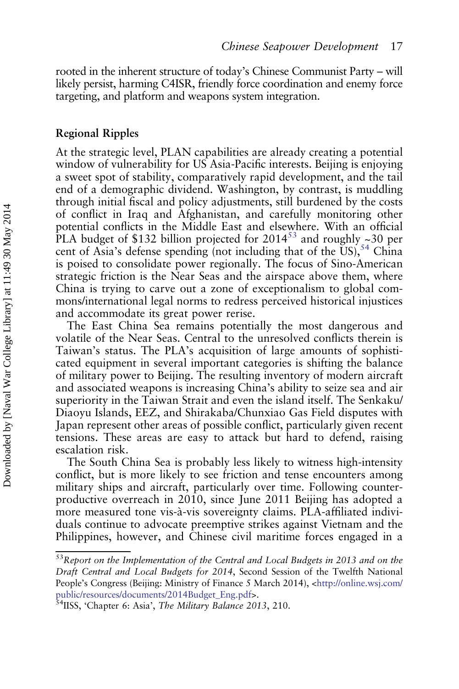rooted in the inherent structure of today's Chinese Communist Party – will likely persist, harming C4ISR, friendly force coordination and enemy force targeting, and platform and weapons system integration.

# Regional Ripples

At the strategic level, PLAN capabilities are already creating a potential window of vulnerability for US Asia-Pacific interests. Beijing is enjoying a sweet spot of stability, comparatively rapid development, and the tail end of a demographic dividend. Washington, by contrast, is muddling through initial fiscal and policy adjustments, still burdened by the costs of conflict in Iraq and Afghanistan, and carefully monitoring other potential conflicts in the Middle East and elsewhere. With an official PLA budget of \$132 billion projected for  $2014^{53}$  and roughly ~30 per cent of Asia's defense spending (not including that of the  $\overline{U}S$ ),  $54$  China is poised to consolidate power regionally. The focus of Sino-American strategic friction is the Near Seas and the airspace above them, where China is trying to carve out a zone of exceptionalism to global commons/international legal norms to redress perceived historical injustices and accommodate its great power rerise.

The East China Sea remains potentially the most dangerous and volatile of the Near Seas. Central to the unresolved conflicts therein is Taiwan's status. The PLA's acquisition of large amounts of sophisticated equipment in several important categories is shifting the balance of military power to Beijing. The resulting inventory of modern aircraft and associated weapons is increasing China's ability to seize sea and air superiority in the Taiwan Strait and even the island itself. The Senkaku/ Diaoyu Islands, EEZ, and Shirakaba/Chunxiao Gas Field disputes with Japan represent other areas of possible conflict, particularly given recent tensions. These areas are easy to attack but hard to defend, raising escalation risk.

The South China Sea is probably less likely to witness high-intensity conflict, but is more likely to see friction and tense encounters among military ships and aircraft, particularly over time. Following counterproductive overreach in 2010, since June 2011 Beijing has adopted a more measured tone vis-à-vis sovereignty claims. PLA-affiliated individuals continue to advocate preemptive strikes against Vietnam and the Philippines, however, and Chinese civil maritime forces engaged in a

<sup>53</sup> Report on the Implementation of the Central and Local Budgets in 2013 and on the Draft Central and Local Budgets for 2014, Second Session of the Twelfth National People's Congress (Beijing: Ministry of Finance 5 March 2014), <[http://online.wsj.com/](http://online.wsj.com/public/resources/documents/2014Budget_Eng.pdf) [public/resources/documents/2014Budget\\_Eng.pdf](http://online.wsj.com/public/resources/documents/2014Budget_Eng.pdf)>.<br><sup>54</sup>IISS, 'Chapter 6: Asia', *The Military Balance 2013*, 210.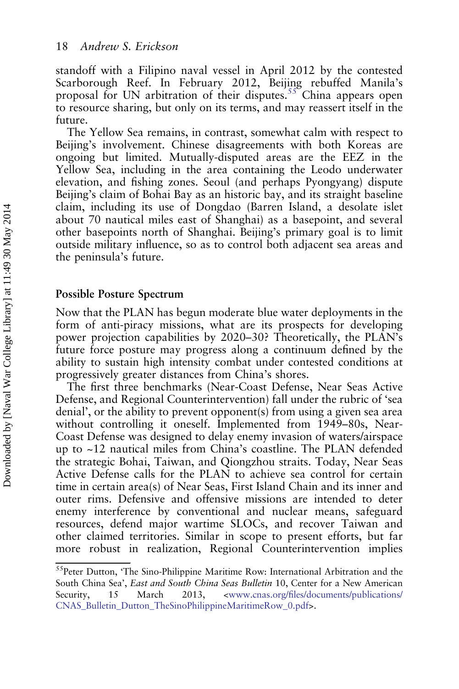standoff with a Filipino naval vessel in April 2012 by the contested Scarborough Reef. In February 2012, Beijing rebuffed Manila's proposal for UN arbitration of their disputes.<sup>55</sup> China appears open to resource sharing, but only on its terms, and may reassert itself in the future.

The Yellow Sea remains, in contrast, somewhat calm with respect to Beijing's involvement. Chinese disagreements with both Koreas are ongoing but limited. Mutually-disputed areas are the EEZ in the Yellow Sea, including in the area containing the Leodo underwater elevation, and fishing zones. Seoul (and perhaps Pyongyang) dispute Beijing's claim of Bohai Bay as an historic bay, and its straight baseline claim, including its use of Dongdao (Barren Island, a desolate islet about 70 nautical miles east of Shanghai) as a basepoint, and several other basepoints north of Shanghai. Beijing's primary goal is to limit outside military influence, so as to control both adjacent sea areas and the peninsula's future.

## Possible Posture Spectrum

Now that the PLAN has begun moderate blue water deployments in the form of anti-piracy missions, what are its prospects for developing power projection capabilities by 2020–30? Theoretically, the PLAN's future force posture may progress along a continuum defined by the ability to sustain high intensity combat under contested conditions at progressively greater distances from China's shores.

The first three benchmarks (Near-Coast Defense, Near Seas Active Defense, and Regional Counterintervention) fall under the rubric of 'sea denial', or the ability to prevent opponent(s) from using a given sea area without controlling it oneself. Implemented from 1949–80s, Near-Coast Defense was designed to delay enemy invasion of waters/airspace up to ~12 nautical miles from China's coastline. The PLAN defended the strategic Bohai, Taiwan, and Qiongzhou straits. Today, Near Seas Active Defense calls for the PLAN to achieve sea control for certain time in certain area(s) of Near Seas, First Island Chain and its inner and outer rims. Defensive and offensive missions are intended to deter enemy interference by conventional and nuclear means, safeguard resources, defend major wartime SLOCs, and recover Taiwan and other claimed territories. Similar in scope to present efforts, but far more robust in realization, Regional Counterintervention implies

<sup>&</sup>lt;sup>55</sup>Peter Dutton, 'The Sino-Philippine Maritime Row: International Arbitration and the South China Sea', East and South China Seas Bulletin 10, Center for a New American Security, 15 March 2013, <www.cnas.org/fi[les/documents/publications/](http://www.cnas.org/files/documents/publications/CNAS_Bulletin_Dutton_TheSinoPhilippineMaritimeRow_0.pdf) CNAS Bulletin Dutton TheSinoPhilippineMaritimeRow 0.pdf>.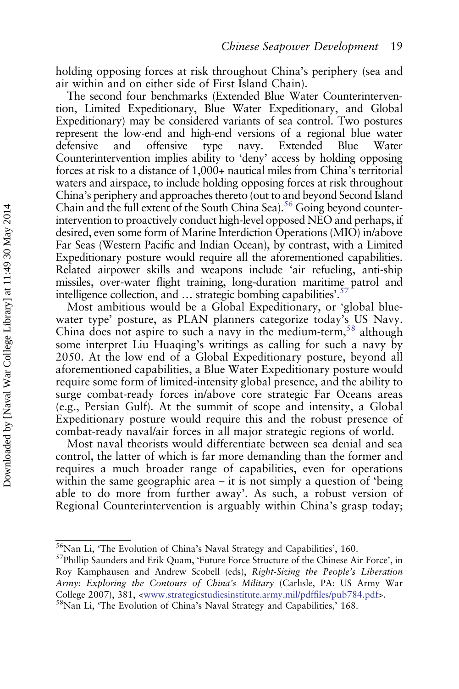holding opposing forces at risk throughout China's periphery (sea and air within and on either side of First Island Chain).

The second four benchmarks (Extended Blue Water Counterintervention, Limited Expeditionary, Blue Water Expeditionary, and Global Expeditionary) may be considered variants of sea control. Two postures represent the low-end and high-end versions of a regional blue water defensive and offensive type navy. Extended Blue Water Counterintervention implies ability to 'deny' access by holding opposing forces at risk to a distance of 1,000+ nautical miles from China's territorial waters and airspace, to include holding opposing forces at risk throughout China's periphery and approaches thereto (out to and beyond Second Island Chain and the full extent of the South China Sea).<sup>56</sup> Going beyond counterintervention to proactively conduct high-level opposed NEO and perhaps, if desired, even some form of Marine Interdiction Operations (MIO) in/above Far Seas (Western Pacific and Indian Ocean), by contrast, with a Limited Expeditionary posture would require all the aforementioned capabilities. Related airpower skills and weapons include 'air refueling, anti-ship missiles, over-water flight training, long-duration maritime patrol and intelligence collection, and … strategic bombing capabilities'. 57

Most ambitious would be a Global Expeditionary, or 'global bluewater type' posture, as PLAN planners categorize today's US Navy. China does not aspire to such a navy in the medium-term,  $58$  although some interpret Liu Huaqing's writings as calling for such a navy by 2050. At the low end of a Global Expeditionary posture, beyond all aforementioned capabilities, a Blue Water Expeditionary posture would require some form of limited-intensity global presence, and the ability to surge combat-ready forces in/above core strategic Far Oceans areas (e.g., Persian Gulf). At the summit of scope and intensity, a Global Expeditionary posture would require this and the robust presence of combat-ready naval/air forces in all major strategic regions of world.

Most naval theorists would differentiate between sea denial and sea control, the latter of which is far more demanding than the former and requires a much broader range of capabilities, even for operations within the same geographic area – it is not simply a question of 'being able to do more from further away'. As such, a robust version of Regional Counterintervention is arguably within China's grasp today;

<sup>&</sup>lt;sup>56</sup>Nan Li, 'The Evolution of China's Naval Strategy and Capabilities', 160.<br><sup>57</sup>Phillip Saunders and Erik Quam, 'Future Force Structure of the Chinese Air Force', in Roy Kamphausen and Andrew Scobell (eds), Right-Sizing the People's Liberation Army: Exploring the Contours of China's Military (Carlisle, PA: US Army War College 2007), 381, <[www.strategicstudiesinstitute.army.mil/pdf](http://www.strategicstudiesinstitute.army.mil/pdffiles/pub784.pdf)files/pub784.pdf>.  $58$ Nan Li, 'The Evolution of China's Naval Strategy and Capabilities,' 168.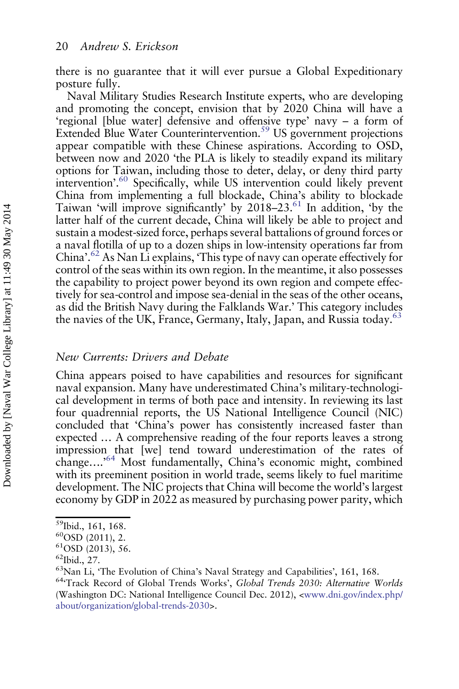there is no guarantee that it will ever pursue a Global Expeditionary posture fully.

Naval Military Studies Research Institute experts, who are developing and promoting the concept, envision that by 2020 China will have a 'regional [blue water] defensive and offensive type' navy – a form of Extended Blue Water Counterintervention.<sup>59</sup> US government projections appear compatible with these Chinese aspirations. According to OSD, between now and 2020 'the PLA is likely to steadily expand its military options for Taiwan, including those to deter, delay, or deny third party intervention'. <sup>60</sup> Specifically, while US intervention could likely prevent China from implementing a full blockade, China's ability to blockade Taiwan 'will improve significantly' by 2018–23.61 In addition, 'by the latter half of the current decade, China will likely be able to project and sustain a modest-sized force, perhaps several battalions of ground forces or a naval flotilla of up to a dozen ships in low-intensity operations far from China'. <sup>62</sup> As Nan Li explains, 'This type of navy can operate effectively for control of the seas within its own region. In the meantime, it also possesses the capability to project power beyond its own region and compete effectively for sea-control and impose sea-denial in the seas of the other oceans, as did the British Navy during the Falklands War.' This category includes the navies of the UK, France, Germany, Italy, Japan, and Russia today.<sup>63</sup>

# New Currents: Drivers and Debate

China appears poised to have capabilities and resources for significant naval expansion. Many have underestimated China's military-technological development in terms of both pace and intensity. In reviewing its last four quadrennial reports, the US National Intelligence Council (NIC) concluded that 'China's power has consistently increased faster than expected … A comprehensive reading of the four reports leaves a strong impression that [we] tend toward underestimation of the rates of change….' <sup>64</sup> Most fundamentally, China's economic might, combined with its preeminent position in world trade, seems likely to fuel maritime development. The NIC projects that China will become the world's largest economy by GDP in 2022 as measured by purchasing power parity, which

<sup>&</sup>lt;sup>59</sup>Ibid., 161, 168.<br><sup>60</sup>OSD (2011), 2.<br><sup>61</sup>OSD (2013), 56.<br><sup>62</sup>Ibid., 27.<br><sup>63</sup>Nan Li, 'The Evolution of China's Naval Strategy and Capabilities', 161, 168.<br><sup>64</sup>'Track Record of Global Trends Works', *Global Trends 2030:* 

<sup>(</sup>Washington DC: National Intelligence Council Dec. 2012), [<www.dni.gov/index.php/](http://www.dni.gov/index.php/about/organization/global-trends-2030) [about/organization/global-trends-2030](http://www.dni.gov/index.php/about/organization/global-trends-2030)>.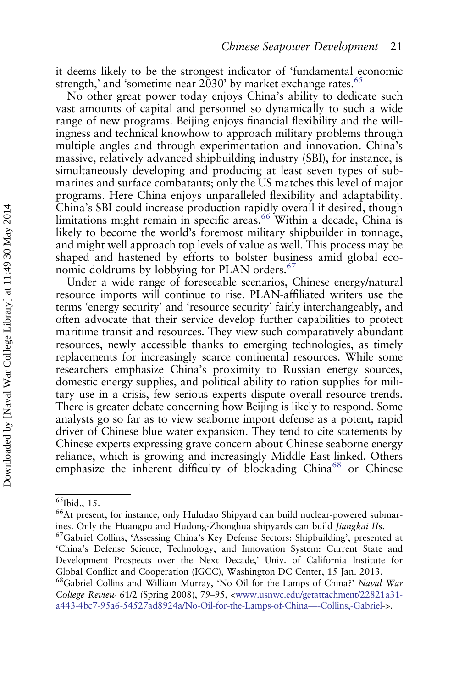it deems likely to be the strongest indicator of 'fundamental economic strength,' and 'sometime near  $2030$ ' by market exchange rates.<sup>65</sup>

No other great power today enjoys China's ability to dedicate such vast amounts of capital and personnel so dynamically to such a wide range of new programs. Beijing enjoys financial flexibility and the willingness and technical knowhow to approach military problems through multiple angles and through experimentation and innovation. China's massive, relatively advanced shipbuilding industry (SBI), for instance, is simultaneously developing and producing at least seven types of submarines and surface combatants; only the US matches this level of major programs. Here China enjoys unparalleled flexibility and adaptability. China's SBI could increase production rapidly overall if desired, though limitations might remain in specific areas.<sup>66</sup> Within a decade, China is likely to become the world's foremost military shipbuilder in tonnage, and might well approach top levels of value as well. This process may be shaped and hastened by efforts to bolster business amid global economic doldrums by lobbying for PLAN orders.<sup>67</sup>

Under a wide range of foreseeable scenarios, Chinese energy/natural resource imports will continue to rise. PLAN-affiliated writers use the terms 'energy security' and 'resource security' fairly interchangeably, and often advocate that their service develop further capabilities to protect maritime transit and resources. They view such comparatively abundant resources, newly accessible thanks to emerging technologies, as timely replacements for increasingly scarce continental resources. While some researchers emphasize China's proximity to Russian energy sources, domestic energy supplies, and political ability to ration supplies for military use in a crisis, few serious experts dispute overall resource trends. There is greater debate concerning how Beijing is likely to respond. Some analysts go so far as to view seaborne import defense as a potent, rapid driver of Chinese blue water expansion. They tend to cite statements by Chinese experts expressing grave concern about Chinese seaborne energy reliance, which is growing and increasingly Middle East-linked. Others emphasize the inherent difficulty of blockading China<sup>68</sup> or Chinese

 $^{65}$ Ibid., 15.<br> $^{66}$ At present, for instance, only Huludao Shipyard can build nuclear-powered submarines. Only the Huangpu and Hudong-Zhonghua shipyards can build *Jiangkai IIs*.<br><sup>67</sup>Gabriel Collins, 'Assessing China's Key Defense Sectors: Shipbuilding', presented at

<sup>&#</sup>x27;China's Defense Science, Technology, and Innovation System: Current State and Development Prospects over the Next Decade,' Univ. of California Institute for Global Conflict and Cooperation (IGCC), Washington DC Center, 15 Jan. 2013.<br><sup>68</sup>Gabriel Collins and William Murray, 'No Oil for the Lamps of China?' Naval War

College Review 61/2 (Spring 2008), 79–95, [<www.usnwc.edu/getattachment/22821a31](http://www.usnwc.edu/getattachment/22821a31-a443-4bc7-95a6-54527ad8924a/No-Oil-for-the-Lamps-of-China-Collins,-Gabriel) [a443-4bc7-95a6-54527ad8924a/No-Oil-for-the-Lamps-of-China](http://www.usnwc.edu/getattachment/22821a31-a443-4bc7-95a6-54527ad8924a/No-Oil-for-the-Lamps-of-China-Collins,-Gabriel)—-Collins,-Gabriel->.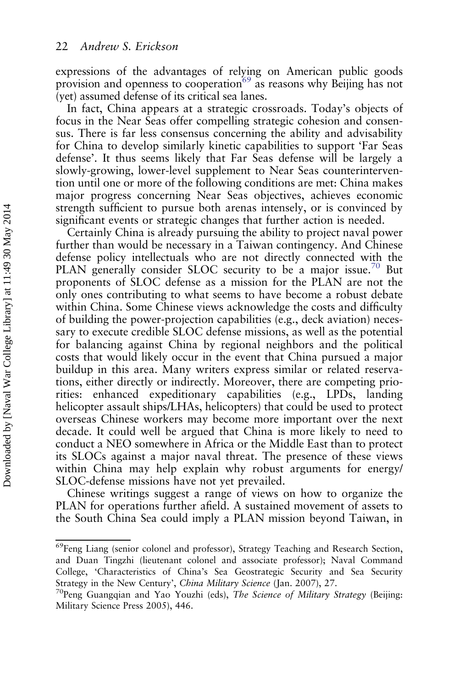expressions of the advantages of relying on American public goods provision and openness to cooperation<sup>69</sup> as reasons why Beijing has not (yet) assumed defense of its critical sea lanes.

In fact, China appears at a strategic crossroads. Today's objects of focus in the Near Seas offer compelling strategic cohesion and consensus. There is far less consensus concerning the ability and advisability for China to develop similarly kinetic capabilities to support 'Far Seas defense'. It thus seems likely that Far Seas defense will be largely a slowly-growing, lower-level supplement to Near Seas counterintervention until one or more of the following conditions are met: China makes major progress concerning Near Seas objectives, achieves economic strength sufficient to pursue both arenas intensely, or is convinced by significant events or strategic changes that further action is needed.

Certainly China is already pursuing the ability to project naval power further than would be necessary in a Taiwan contingency. And Chinese defense policy intellectuals who are not directly connected with the PLAN generally consider SLOC security to be a major issue.<sup>70</sup> But proponents of SLOC defense as a mission for the PLAN are not the only ones contributing to what seems to have become a robust debate within China. Some Chinese views acknowledge the costs and difficulty of building the power-projection capabilities (e.g., deck aviation) necessary to execute credible SLOC defense missions, as well as the potential for balancing against China by regional neighbors and the political costs that would likely occur in the event that China pursued a major buildup in this area. Many writers express similar or related reservations, either directly or indirectly. Moreover, there are competing priorities: enhanced expeditionary capabilities (e.g., LPDs, landing helicopter assault ships/LHAs, helicopters) that could be used to protect overseas Chinese workers may become more important over the next decade. It could well be argued that China is more likely to need to conduct a NEO somewhere in Africa or the Middle East than to protect its SLOCs against a major naval threat. The presence of these views within China may help explain why robust arguments for energy/ SLOC-defense missions have not yet prevailed.

Chinese writings suggest a range of views on how to organize the PLAN for operations further afield. A sustained movement of assets to the South China Sea could imply a PLAN mission beyond Taiwan, in

<sup>&</sup>lt;sup>69</sup>Feng Liang (senior colonel and professor), Strategy Teaching and Research Section, and Duan Tingzhi (lieutenant colonel and associate professor); Naval Command College, 'Characteristics of China's Sea Geostrategic Security and Sea Security Strategy in the New Century', China Military Science (Jan. 2007), 27.<br><sup>70</sup>Peng Guangqian and Yao Youzhi (eds), The Science of Military Strategy (Beijing:

Military Science Press 2005), 446.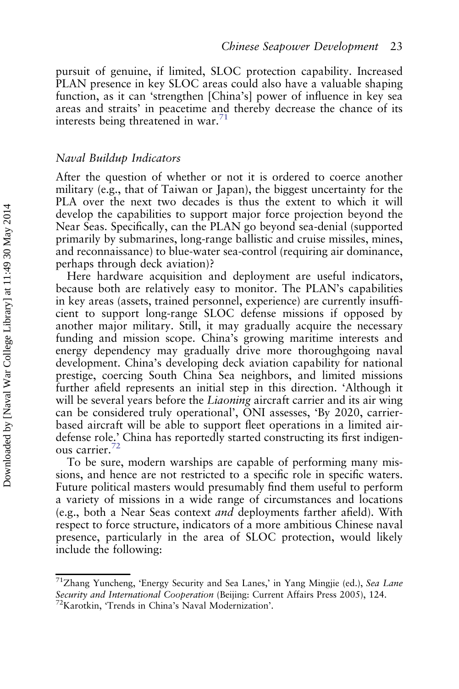pursuit of genuine, if limited, SLOC protection capability. Increased PLAN presence in key SLOC areas could also have a valuable shaping function, as it can 'strengthen [China's] power of influence in key sea areas and straits' in peacetime and thereby decrease the chance of its interests being threatened in war. $71$ 

# Naval Buildup Indicators

After the question of whether or not it is ordered to coerce another military (e.g., that of Taiwan or Japan), the biggest uncertainty for the PLA over the next two decades is thus the extent to which it will develop the capabilities to support major force projection beyond the Near Seas. Specifically, can the PLAN go beyond sea-denial (supported primarily by submarines, long-range ballistic and cruise missiles, mines, and reconnaissance) to blue-water sea-control (requiring air dominance, perhaps through deck aviation)?

Here hardware acquisition and deployment are useful indicators, because both are relatively easy to monitor. The PLAN's capabilities in key areas (assets, trained personnel, experience) are currently insufficient to support long-range SLOC defense missions if opposed by another major military. Still, it may gradually acquire the necessary funding and mission scope. China's growing maritime interests and energy dependency may gradually drive more thoroughgoing naval development. China's developing deck aviation capability for national prestige, coercing South China Sea neighbors, and limited missions further afield represents an initial step in this direction. 'Although it will be several years before the *Liaoning* aircraft carrier and its air wing can be considered truly operational', ONI assesses, 'By 2020, carrierbased aircraft will be able to support fleet operations in a limited airdefense role.' China has reportedly started constructing its first indigenous carrier.<sup>72</sup>

To be sure, modern warships are capable of performing many missions, and hence are not restricted to a specific role in specific waters. Future political masters would presumably find them useful to perform a variety of missions in a wide range of circumstances and locations (e.g., both a Near Seas context *and* deployments farther afield). With respect to force structure, indicators of a more ambitious Chinese naval presence, particularly in the area of SLOC protection, would likely include the following:

<sup>71</sup>Zhang Yuncheng, 'Energy Security and Sea Lanes,' in Yang Mingjie (ed.), Sea Lane Security and International Cooperation (Beijing: Current Affairs Press 2005), 124. <sup>72</sup>Karotkin, 'Trends in China's Naval Modernization'.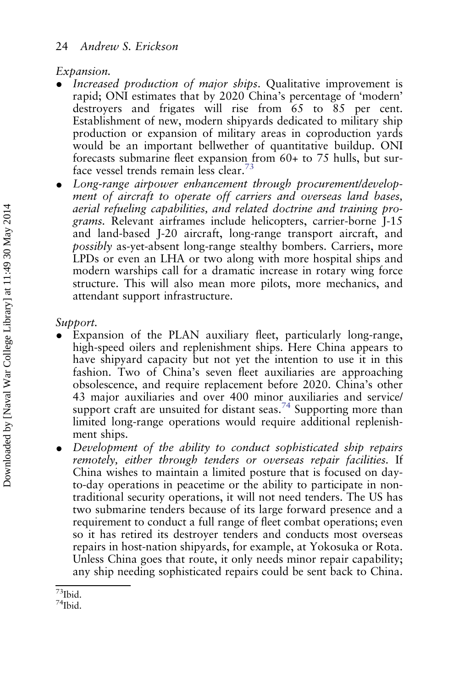# Expansion.

- Increased production of major ships. Qualitative improvement is rapid; ONI estimates that by 2020 China's percentage of 'modern' destroyers and frigates will rise from 65 to 85 per cent. Establishment of new, modern shipyards dedicated to military ship production or expansion of military areas in coproduction yards would be an important bellwether of quantitative buildup. ONI forecasts submarine fleet expansion from 60+ to 75 hulls, but surface vessel trends remain less clear.<sup>73</sup>
- Long-range airpower enhancement through procurement/development of aircraft to operate off carriers and overseas land bases, aerial refueling capabilities, and related doctrine and training programs. Relevant airframes include helicopters, carrier-borne J-15 and land-based J-20 aircraft, long-range transport aircraft, and possibly as-yet-absent long-range stealthy bombers. Carriers, more LPDs or even an LHA or two along with more hospital ships and modern warships call for a dramatic increase in rotary wing force structure. This will also mean more pilots, more mechanics, and attendant support infrastructure.

# Support.

- Expansion of the PLAN auxiliary fleet, particularly long-range, high-speed oilers and replenishment ships. Here China appears to have shipyard capacity but not yet the intention to use it in this fashion. Two of China's seven fleet auxiliaries are approaching obsolescence, and require replacement before 2020. China's other 43 major auxiliaries and over 400 minor auxiliaries and service/ support craft are unsuited for distant seas.<sup>74</sup> Supporting more than limited long-range operations would require additional replenishment ships.
- Development of the ability to conduct sophisticated ship repairs remotely, either through tenders or overseas repair facilities. If China wishes to maintain a limited posture that is focused on dayto-day operations in peacetime or the ability to participate in nontraditional security operations, it will not need tenders. The US has two submarine tenders because of its large forward presence and a requirement to conduct a full range of fleet combat operations; even so it has retired its destroyer tenders and conducts most overseas repairs in host-nation shipyards, for example, at Yokosuka or Rota. Unless China goes that route, it only needs minor repair capability; any ship needing sophisticated repairs could be sent back to China.

 $\frac{73}{74}$ Ibid.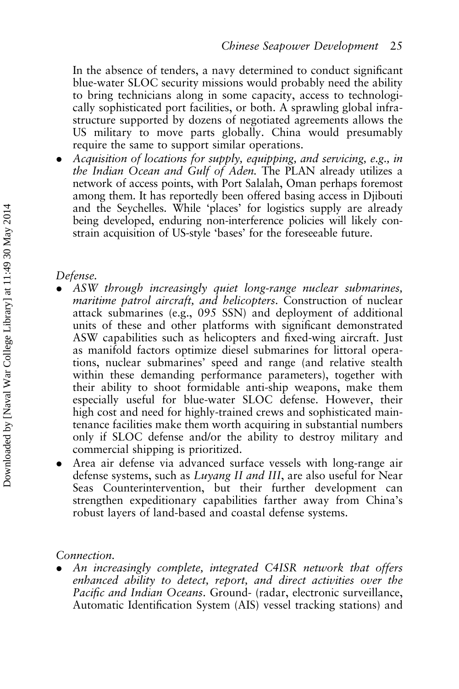In the absence of tenders, a navy determined to conduct significant blue-water SLOC security missions would probably need the ability to bring technicians along in some capacity, access to technologically sophisticated port facilities, or both. A sprawling global infrastructure supported by dozens of negotiated agreements allows the US military to move parts globally. China would presumably require the same to support similar operations.

● Acquisition of locations for supply, equipping, and servicing, e.g., in the Indian Ocean and Gulf of Aden. The PLAN already utilizes a network of access points, with Port Salalah, Oman perhaps foremost among them. It has reportedly been offered basing access in Djibouti and the Seychelles. While 'places' for logistics supply are already being developed, enduring non-interference policies will likely constrain acquisition of US-style 'bases' for the foreseeable future.

# Defense.

- ASW through increasingly quiet long-range nuclear submarines, maritime patrol aircraft, and helicopters. Construction of nuclear attack submarines (e.g., 095 SSN) and deployment of additional units of these and other platforms with significant demonstrated ASW capabilities such as helicopters and fixed-wing aircraft. Just as manifold factors optimize diesel submarines for littoral operations, nuclear submarines' speed and range (and relative stealth within these demanding performance parameters), together with their ability to shoot formidable anti-ship weapons, make them especially useful for blue-water SLOC defense. However, their high cost and need for highly-trained crews and sophisticated maintenance facilities make them worth acquiring in substantial numbers only if SLOC defense and/or the ability to destroy military and commercial shipping is prioritized.
- Area air defense via advanced surface vessels with long-range air defense systems, such as *Luyang II and III*, are also useful for Near Seas Counterintervention, but their further development can strengthen expeditionary capabilities farther away from China's robust layers of land-based and coastal defense systems.

# Connection.

An increasingly complete, integrated C4ISR network that offers enhanced ability to detect, report, and direct activities over the Pacific and Indian Oceans. Ground- (radar, electronic surveillance, Automatic Identification System (AIS) vessel tracking stations) and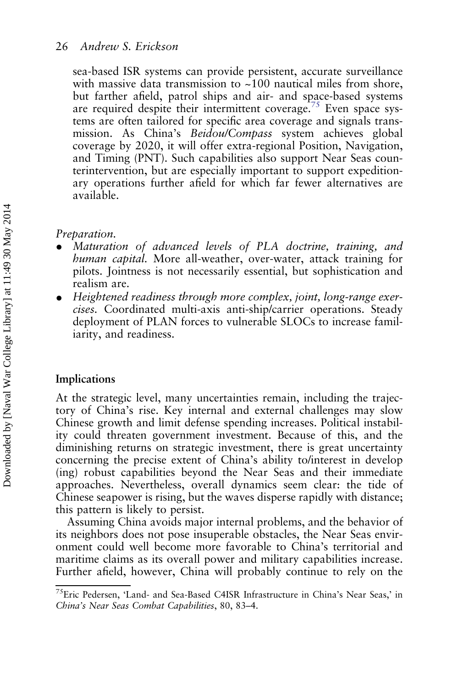# 26 Andrew S. Erickson

sea-based ISR systems can provide persistent, accurate surveillance with massive data transmission to ~100 nautical miles from shore, but farther afield, patrol ships and air- and space-based systems are required despite their intermittent coverage.<sup>75</sup> Even space systems are often tailored for specific area coverage and signals transmission. As China's Beidou/Compass system achieves global coverage by 2020, it will offer extra-regional Position, Navigation, and Timing (PNT). Such capabilities also support Near Seas counterintervention, but are especially important to support expeditionary operations further afield for which far fewer alternatives are available.

# Preparation.

- Maturation of advanced levels of PLA doctrine, training, and human capital. More all-weather, over-water, attack training for pilots. Jointness is not necessarily essential, but sophistication and realism are.
- Heightened readiness through more complex, joint, long-range exercises. Coordinated multi-axis anti-ship/carrier operations. Steady deployment of PLAN forces to vulnerable SLOCs to increase familiarity, and readiness.

## Implications

At the strategic level, many uncertainties remain, including the trajectory of China's rise. Key internal and external challenges may slow Chinese growth and limit defense spending increases. Political instability could threaten government investment. Because of this, and the diminishing returns on strategic investment, there is great uncertainty concerning the precise extent of China's ability to/interest in develop (ing) robust capabilities beyond the Near Seas and their immediate approaches. Nevertheless, overall dynamics seem clear: the tide of Chinese seapower is rising, but the waves disperse rapidly with distance; this pattern is likely to persist.

Assuming China avoids major internal problems, and the behavior of its neighbors does not pose insuperable obstacles, the Near Seas environment could well become more favorable to China's territorial and maritime claims as its overall power and military capabilities increase. Further afield, however, China will probably continue to rely on the

<sup>75</sup>Eric Pedersen, 'Land- and Sea-Based C4ISR Infrastructure in China's Near Seas,' in China's Near Seas Combat Capabilities, 80, 83–4.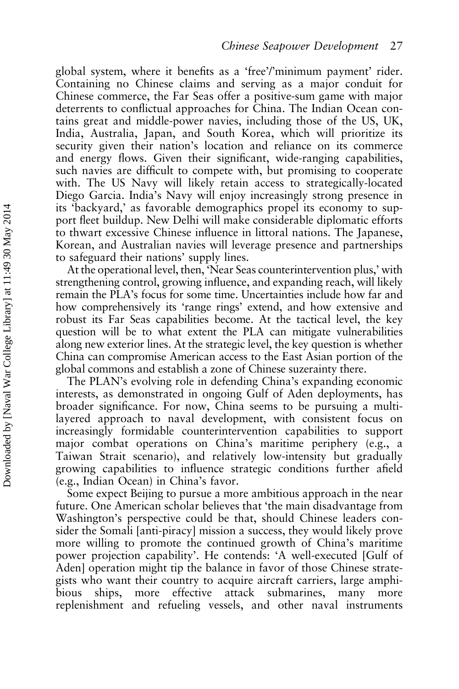global system, where it benefits as a 'free'/'minimum payment' rider. Containing no Chinese claims and serving as a major conduit for Chinese commerce, the Far Seas offer a positive-sum game with major deterrents to conflictual approaches for China. The Indian Ocean contains great and middle-power navies, including those of the US, UK, India, Australia, Japan, and South Korea, which will prioritize its security given their nation's location and reliance on its commerce and energy flows. Given their significant, wide-ranging capabilities, such navies are difficult to compete with, but promising to cooperate with. The US Navy will likely retain access to strategically-located Diego Garcia. India's Navy will enjoy increasingly strong presence in its 'backyard,' as favorable demographics propel its economy to support fleet buildup. New Delhi will make considerable diplomatic efforts to thwart excessive Chinese influence in littoral nations. The Japanese, Korean, and Australian navies will leverage presence and partnerships to safeguard their nations' supply lines.

At the operational level, then, 'Near Seas counterintervention plus,' with strengthening control, growing influence, and expanding reach, will likely remain the PLA's focus for some time. Uncertainties include how far and how comprehensively its 'range rings' extend, and how extensive and robust its Far Seas capabilities become. At the tactical level, the key question will be to what extent the PLA can mitigate vulnerabilities along new exterior lines. At the strategic level, the key question is whether China can compromise American access to the East Asian portion of the global commons and establish a zone of Chinese suzerainty there.

The PLAN's evolving role in defending China's expanding economic interests, as demonstrated in ongoing Gulf of Aden deployments, has broader significance. For now, China seems to be pursuing a multilayered approach to naval development, with consistent focus on increasingly formidable counterintervention capabilities to support major combat operations on China's maritime periphery (e.g., a Taiwan Strait scenario), and relatively low-intensity but gradually growing capabilities to influence strategic conditions further afield (e.g., Indian Ocean) in China's favor.

Some expect Beijing to pursue a more ambitious approach in the near future. One American scholar believes that 'the main disadvantage from Washington's perspective could be that, should Chinese leaders consider the Somali [anti-piracy] mission a success, they would likely prove more willing to promote the continued growth of China's maritime power projection capability'. He contends: 'A well-executed [Gulf of Aden] operation might tip the balance in favor of those Chinese strategists who want their country to acquire aircraft carriers, large amphibious ships, more effective attack submarines, many more replenishment and refueling vessels, and other naval instruments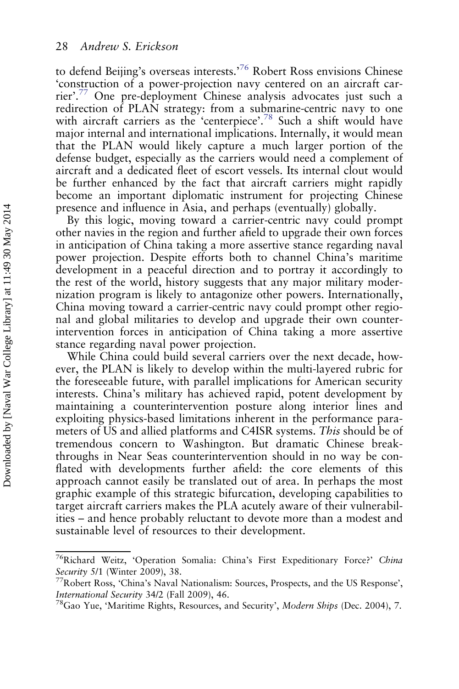to defend Beijing's overseas interests.'<sup>76</sup> Robert Ross envisions Chinese 'construction of a power-projection navy centered on an aircraft carrier'. <sup>77</sup> One pre-deployment Chinese analysis advocates just such a redirection of PLAN strategy: from a submarine-centric navy to one with aircraft carriers as the 'centerpiece'.<sup>78</sup> Such a shift would have major internal and international implications. Internally, it would mean that the PLAN would likely capture a much larger portion of the defense budget, especially as the carriers would need a complement of aircraft and a dedicated fleet of escort vessels. Its internal clout would be further enhanced by the fact that aircraft carriers might rapidly become an important diplomatic instrument for projecting Chinese presence and influence in Asia, and perhaps (eventually) globally.

By this logic, moving toward a carrier-centric navy could prompt other navies in the region and further afield to upgrade their own forces in anticipation of China taking a more assertive stance regarding naval power projection. Despite efforts both to channel China's maritime development in a peaceful direction and to portray it accordingly to the rest of the world, history suggests that any major military modernization program is likely to antagonize other powers. Internationally, China moving toward a carrier-centric navy could prompt other regional and global militaries to develop and upgrade their own counterintervention forces in anticipation of China taking a more assertive stance regarding naval power projection.

While China could build several carriers over the next decade, however, the PLAN is likely to develop within the multi-layered rubric for the foreseeable future, with parallel implications for American security interests. China's military has achieved rapid, potent development by maintaining a counterintervention posture along interior lines and exploiting physics-based limitations inherent in the performance parameters of US and allied platforms and C4ISR systems. This should be of tremendous concern to Washington. But dramatic Chinese breakthroughs in Near Seas counterintervention should in no way be conflated with developments further afield: the core elements of this approach cannot easily be translated out of area. In perhaps the most graphic example of this strategic bifurcation, developing capabilities to target aircraft carriers makes the PLA acutely aware of their vulnerabilities – and hence probably reluctant to devote more than a modest and sustainable level of resources to their development.

<sup>&</sup>lt;sup>76</sup>Richard Weitz, 'Operation Somalia: China's First Expeditionary Force?' China Security 5/1 (Winter 2009), 38.<br><sup>77</sup>Robert Ross, 'China's Naval Nationalism: Sources, Prospects, and the US Response',

International Security 34/2 (Fall 2009), 46.<br><sup>78</sup>Gao Yue, 'Maritime Rights, Resources, and Security', Modern Ships (Dec. 2004), 7.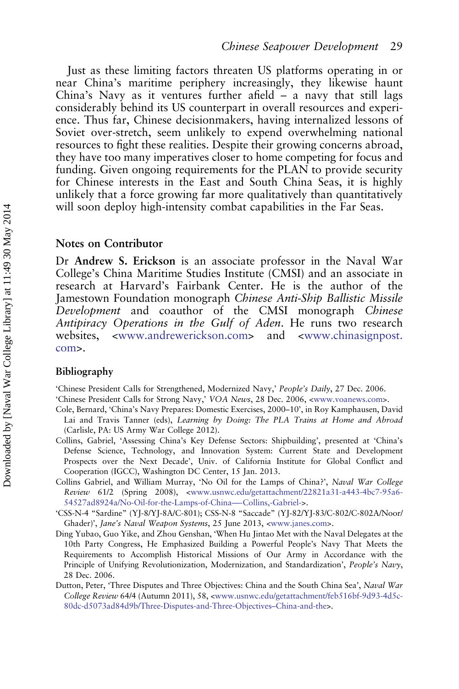Just as these limiting factors threaten US platforms operating in or near China's maritime periphery increasingly, they likewise haunt China's Navy as it ventures further afield – a navy that still lags considerably behind its US counterpart in overall resources and experience. Thus far, Chinese decisionmakers, having internalized lessons of Soviet over-stretch, seem unlikely to expend overwhelming national resources to fight these realities. Despite their growing concerns abroad, they have too many imperatives closer to home competing for focus and funding. Given ongoing requirements for the PLAN to provide security for Chinese interests in the East and South China Seas, it is highly unlikely that a force growing far more qualitatively than quantitatively will soon deploy high-intensity combat capabilities in the Far Seas.

## Notes on Contributor

Dr Andrew S. Erickson is an associate professor in the Naval War College's China Maritime Studies Institute (CMSI) and an associate in research at Harvard's Fairbank Center. He is the author of the Jamestown Foundation monograph Chinese Anti-Ship Ballistic Missile Development and coauthor of the CMSI monograph Chinese Antipiracy Operations in the Gulf of Aden. He runs two research websites, <www.andrewerickson.com> and <www.chinasignpost. com>.

#### Bibliography

'Chinese President Calls for Strengthened, Modernized Navy,' People's Daily, 27 Dec. 2006.

'Chinese President Calls for Strong Navy,' VOA News, 28 Dec. 2006, <[www.voanews.com>](http://www.voanews.com).

- Cole, Bernard, 'China's Navy Prepares: Domestic Exercises, 2000–10', in Roy Kamphausen, David Lai and Travis Tanner (eds), Learning by Doing: The PLA Trains at Home and Abroad (Carlisle, PA: US Army War College 2012).
- Collins, Gabriel, 'Assessing China's Key Defense Sectors: Shipbuilding', presented at 'China's Defense Science, Technology, and Innovation System: Current State and Development Prospects over the Next Decade', Univ. of California Institute for Global Conflict and Cooperation (IGCC), Washington DC Center, 15 Jan. 2013.
- Collins Gabriel, and William Murray, 'No Oil for the Lamps of China?', Naval War College Review 61/2 (Spring 2008), <[www.usnwc.edu/getattachment/22821a31-a443-4bc7-95a6-](http://www.usnwc.edu/getattachment/22821a31-a443-4bc7-95a6-54527ad8924a/No-Oil-for-the-Lamps-of-China-Collins,-Gabriel-) [54527ad8924a/No-Oil-for-the-Lamps-of-China](http://www.usnwc.edu/getattachment/22821a31-a443-4bc7-95a6-54527ad8924a/No-Oil-for-the-Lamps-of-China-Collins,-Gabriel-)—-Collins,-Gabriel->.
- 'CSS-N-4 "Sardine" (YJ-8/YJ-8A/C-801); CSS-N-8 "Saccade" (YJ-82/YJ-83/C-802/C-802A/Noor/ Ghader)', Jane's Naval Weapon Systems, 25 June 2013, [<www.janes.com](http://www.janes.com)>.
- Ding Yubao, Guo Yike, and Zhou Genshan, 'When Hu Jintao Met with the Naval Delegates at the 10th Party Congress, He Emphasized Building a Powerful People's Navy That Meets the Requirements to Accomplish Historical Missions of Our Army in Accordance with the Principle of Unifying Revolutionization, Modernization, and Standardization', People's Navy, 28 Dec. 2006.
- Dutton, Peter, 'Three Disputes and Three Objectives: China and the South China Sea', Naval War College Review 64/4 (Autumn 2011), 58, [<www.usnwc.edu/getattachment/feb516bf-9d93-4d5c-](http://www.usnwc.edu/getattachment/feb516bf-9d93-4d5c-80dc-d5073ad84d9b/Three-Disputes-and-Three-ObjectivesChina-and-the)[80dc-d5073ad84d9b/Three-Disputes-and-Three-Objectives](http://www.usnwc.edu/getattachment/feb516bf-9d93-4d5c-80dc-d5073ad84d9b/Three-Disputes-and-Three-ObjectivesChina-and-the)–China-and-the>.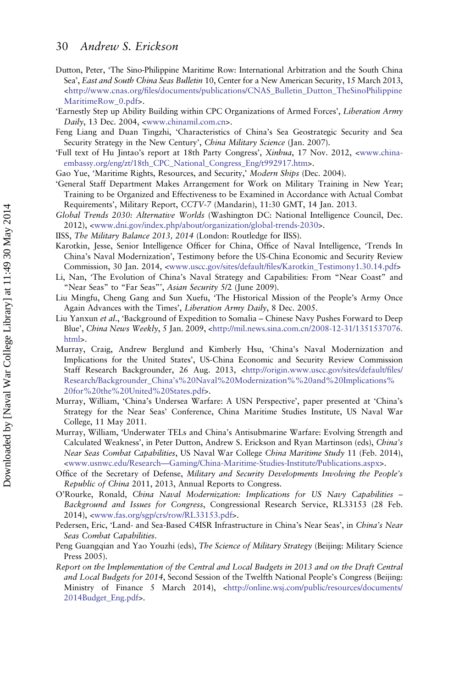# 30 Andrew S. Erickson

- Dutton, Peter, 'The Sino-Philippine Maritime Row: International Arbitration and the South China Sea', East and South China Seas Bulletin 10, Center for a New American Security, 15 March 2013, <http://www.cnas.org/fi[les/documents/publications/CNAS\\_Bulletin\\_Dutton\\_TheSinoPhilippine](http://www.cnas.org/files/documents/publications/CNAS_Bulletin_Dutton_TheSinoPhilippineMaritimeRow_0.pdf) MaritimeRow 0.pdf>.
- 'Earnestly Step up Ability Building within CPC Organizations of Armed Forces', Liberation Army Daily, 13 Dec. 2004, [<www.chinamil.com.cn>](http://www.chinamil.com.cn).
- Feng Liang and Duan Tingzhi, 'Characteristics of China's Sea Geostrategic Security and Sea Security Strategy in the New Century', China Military Science (Jan. 2007).
- 'Full text of Hu Jintao's report at 18th Party Congress', Xinhua, 17 Nov. 2012, <[www.china](http://www.china-embassy.org/eng/zt/18th_CPC_National_Congress_Eng/t992917.htm)[embassy.org/eng/zt/18th\\_CPC\\_National\\_Congress\\_Eng/t992917.htm>](http://www.china-embassy.org/eng/zt/18th_CPC_National_Congress_Eng/t992917.htm).
- Gao Yue, 'Maritime Rights, Resources, and Security,' Modern Ships (Dec. 2004).
- 'General Staff Department Makes Arrangement for Work on Military Training in New Year; Training to be Organized and Effectiveness to be Examined in Accordance with Actual Combat Requirements', Military Report, CCTV-7 (Mandarin), 11:30 GMT, 14 Jan. 2013.
- Global Trends 2030: Alternative Worlds (Washington DC: National Intelligence Council, Dec. 2012), <[www.dni.gov/index.php/about/organization/global-trends-2030>](http://www.dni.gov/index.php/about/organization/global-trends-2030).
- IISS, The Military Balance 2013, 2014 (London: Routledge for IISS).
- Karotkin, Jesse, Senior Intelligence Officer for China, Office of Naval Intelligence, 'Trends In China's Naval Modernization', Testimony before the US-China Economic and Security Review Commission, 30 Jan. 2014, <www.uscc.gov/sites/default/fi[les/Karotkin\\_Testimony1.30.14.pdf](http://www.uscc.gov/sites/default/files/Karotkin_Testimony1.30.14.pdf)>
- Li, Nan, 'The Evolution of China's Naval Strategy and Capabilities: From "Near Coast" and "Near Seas" to "Far Seas"', Asian Security 5/2 (June 2009).
- Liu Mingfu, Cheng Gang and Sun Xuefu, 'The Historical Mission of the People's Army Once Again Advances with the Times', Liberation Army Daily, 8 Dec. 2005.
- Liu Yanxun et al., 'Background of Expedition to Somalia Chinese Navy Pushes Forward to Deep Blue', China News Weekly, 5 Jan. 2009, [<http://mil.news.sina.com.cn/2008-12-31/1351537076.](http://mil.news.sina.com.cn/2008-12-31/1351537076.html) [html](http://mil.news.sina.com.cn/2008-12-31/1351537076.html)>.
- Murray, Craig, Andrew Berglund and Kimberly Hsu, 'China's Naval Modernization and Implications for the United States', US-China Economic and Security Review Commission Staff Research Backgrounder, 26 Aug. 2013, <[http://origin.www.uscc.gov/sites/default/](http://origin.www.uscc.gov/sites/default/files/Research/Backgrounder_Chinas%20Naval%20Modernization%%20and%20Implications%20for%20the%20United%20States.pdf)files/ Research/Backgrounder\_China'[s%20Naval%20Modernization%%20and%20Implications%](http://origin.www.uscc.gov/sites/default/files/Research/Backgrounder_Chinas%20Naval%20Modernization%%20and%20Implications%20for%20the%20United%20States.pdf) [20for%20the%20United%20States.pdf>](http://origin.www.uscc.gov/sites/default/files/Research/Backgrounder_Chinas%20Naval%20Modernization%%20and%20Implications%20for%20the%20United%20States.pdf).
- Murray, William, 'China's Undersea Warfare: A USN Perspective', paper presented at 'China's Strategy for the Near Seas' Conference, China Maritime Studies Institute, US Naval War College, 11 May 2011.
- Murray, William, 'Underwater TELs and China's Antisubmarine Warfare: Evolving Strength and Calculated Weakness', in Peter Dutton, Andrew S. Erickson and Ryan Martinson (eds), China's Near Seas Combat Capabilities, US Naval War College China Maritime Study 11 (Feb. 2014), <www.usnwc.edu/Research—[Gaming/China-Maritime-Studies-Institute/Publications.aspx>](http://www.usnwc.edu/ResearchGaming/China-Maritime-Studies-Institute/Publications.aspx).
- Office of the Secretary of Defense, Military and Security Developments Involving the People's Republic of China 2011, 2013, Annual Reports to Congress.
- O'Rourke, Ronald, China Naval Modernization: Implications for US Navy Capabilities Background and Issues for Congress, Congressional Research Service, RL33153 (28 Feb. 2014), <[www.fas.org/sgp/crs/row/RL33153.pdf>](http://www.fas.org/sgp/crs/row/RL33153.pdf).
- Pedersen, Eric, 'Land- and Sea-Based C4ISR Infrastructure in China's Near Seas', in China's Near Seas Combat Capabilities.
- Peng Guangqian and Yao Youzhi (eds), The Science of Military Strategy (Beijing: Military Science Press 2005).
- Report on the Implementation of the Central and Local Budgets in 2013 and on the Draft Central and Local Budgets for 2014, Second Session of the Twelfth National People's Congress (Beijing: Ministry of Finance 5 March 2014), [<http://online.wsj.com/public/resources/documents/](http://online.wsj.com/public/resources/documents/2014Budget_Eng.pdf) [2014Budget\\_Eng.pdf](http://online.wsj.com/public/resources/documents/2014Budget_Eng.pdf)>.